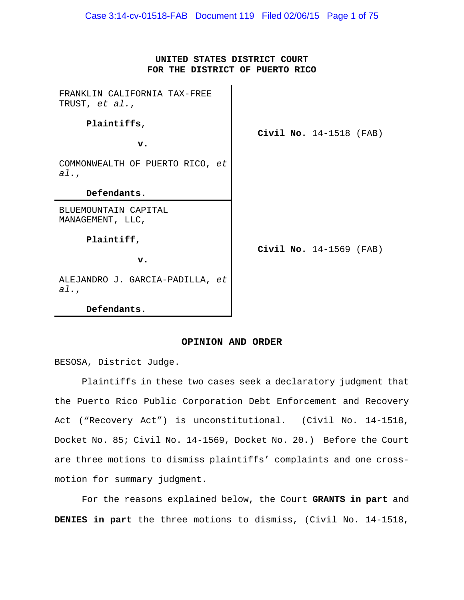## **UNITED STATES DISTRICT COURT FOR THE DISTRICT OF PUERTO RICO**

 $\mathbf{r}$ 

| FRANKLIN CALIFORNIA TAX-FREE<br>TRUST, et al., | <b>Civil No.</b> $14-1518$ (FAB) |  |                                  |  |
|------------------------------------------------|----------------------------------|--|----------------------------------|--|
| Plaintiffs,                                    |                                  |  |                                  |  |
| $\mathbf{v}$ .                                 |                                  |  |                                  |  |
| COMMONWEALTH OF PUERTO RICO, et<br>al.,        |                                  |  |                                  |  |
| Defendants.                                    |                                  |  |                                  |  |
| BLUEMOUNTAIN CAPITAL<br>MANAGEMENT, LLC,       |                                  |  | <b>Civil No.</b> $14-1569$ (FAB) |  |
| Plaintiff,                                     |                                  |  |                                  |  |
| $\mathbf v$ .                                  |                                  |  |                                  |  |
| ALEJANDRO J. GARCIA-PADILLA, et<br>al.,        |                                  |  |                                  |  |
| Defendants.                                    |                                  |  |                                  |  |

## **OPINION AND ORDER**

BESOSA, District Judge.

Plaintiffs in these two cases seek a declaratory judgment that the Puerto Rico Public Corporation Debt Enforcement and Recovery Act ("Recovery Act") is unconstitutional. (Civil No. 14-1518, Docket No. 85; Civil No. 14-1569, Docket No. 20.) Before the Court are three motions to dismiss plaintiffs' complaints and one crossmotion for summary judgment.

For the reasons explained below, the Court **GRANTS in part** and **DENIES in part** the three motions to dismiss, (Civil No. 14-1518,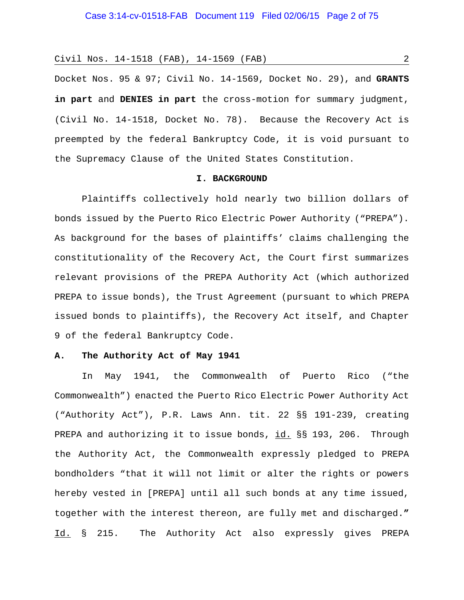Docket Nos. 95 & 97; Civil No. 14-1569, Docket No. 29), and **GRANTS in part** and **DENIES in part** the cross-motion for summary judgment, (Civil No. 14-1518, Docket No. 78). Because the Recovery Act is preempted by the federal Bankruptcy Code, it is void pursuant to the Supremacy Clause of the United States Constitution.

### **I. BACKGROUND**

Plaintiffs collectively hold nearly two billion dollars of bonds issued by the Puerto Rico Electric Power Authority ("PREPA"). As background for the bases of plaintiffs' claims challenging the constitutionality of the Recovery Act, the Court first summarizes relevant provisions of the PREPA Authority Act (which authorized PREPA to issue bonds), the Trust Agreement (pursuant to which PREPA issued bonds to plaintiffs), the Recovery Act itself, and Chapter 9 of the federal Bankruptcy Code.

### **A. The Authority Act of May 1941**

In May 1941, the Commonwealth of Puerto Rico ("the Commonwealth") enacted the Puerto Rico Electric Power Authority Act ("Authority Act"), P.R. Laws Ann. tit. 22 §§ 191-239, creating PREPA and authorizing it to issue bonds, id. §§ 193, 206. Through the Authority Act, the Commonwealth expressly pledged to PREPA bondholders "that it will not limit or alter the rights or powers hereby vested in [PREPA] until all such bonds at any time issued, together with the interest thereon, are fully met and discharged.**"**  Id. § 215. The Authority Act also expressly gives PREPA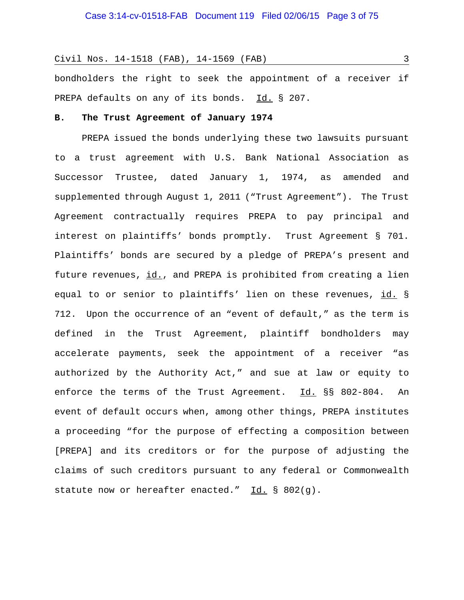bondholders the right to seek the appointment of a receiver if PREPA defaults on any of its bonds. Id. § 207.

### **B. The Trust Agreement of January 1974**

PREPA issued the bonds underlying these two lawsuits pursuant to a trust agreement with U.S. Bank National Association as Successor Trustee, dated January 1, 1974, as amended and supplemented through August 1, 2011 ("Trust Agreement"). The Trust Agreement contractually requires PREPA to pay principal and interest on plaintiffs' bonds promptly. Trust Agreement § 701. Plaintiffs' bonds are secured by a pledge of PREPA's present and future revenues, id., and PREPA is prohibited from creating a lien equal to or senior to plaintiffs' lien on these revenues, id. § 712. Upon the occurrence of an "event of default," as the term is defined in the Trust Agreement, plaintiff bondholders may accelerate payments, seek the appointment of a receiver "as authorized by the Authority Act," and sue at law or equity to enforce the terms of the Trust Agreement. Id. §§ 802-804. An event of default occurs when, among other things, PREPA institutes a proceeding "for the purpose of effecting a composition between [PREPA] and its creditors or for the purpose of adjusting the claims of such creditors pursuant to any federal or Commonwealth statute now or hereafter enacted."  $Id. \S 802(g)$ .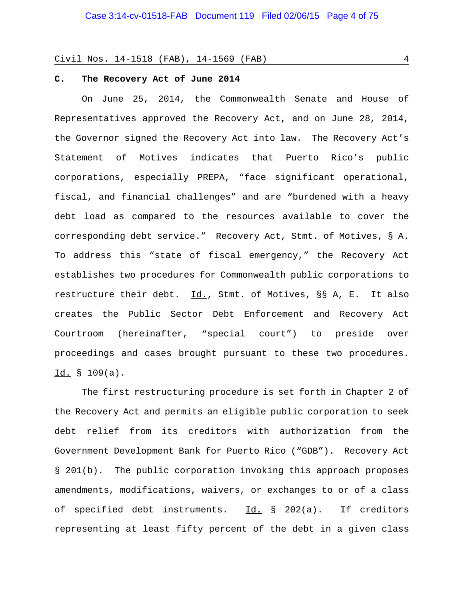### **C. The Recovery Act of June 2014**

On June 25, 2014, the Commonwealth Senate and House of Representatives approved the Recovery Act, and on June 28, 2014, the Governor signed the Recovery Act into law. The Recovery Act's Statement of Motives indicates that Puerto Rico's public corporations, especially PREPA, "face significant operational, fiscal, and financial challenges" and are "burdened with a heavy debt load as compared to the resources available to cover the corresponding debt service." Recovery Act, Stmt. of Motives, § A. To address this "state of fiscal emergency," the Recovery Act establishes two procedures for Commonwealth public corporations to restructure their debt. Id., Stmt. of Motives, §§ A, E. It also creates the Public Sector Debt Enforcement and Recovery Act Courtroom (hereinafter, "special court") to preside over proceedings and cases brought pursuant to these two procedures. Id. § 109(a).

The first restructuring procedure is set forth in Chapter 2 of the Recovery Act and permits an eligible public corporation to seek debt relief from its creditors with authorization from the Government Development Bank for Puerto Rico ("GDB"). Recovery Act § 201(b). The public corporation invoking this approach proposes amendments, modifications, waivers, or exchanges to or of a class of specified debt instruments. Id. § 202(a). If creditors representing at least fifty percent of the debt in a given class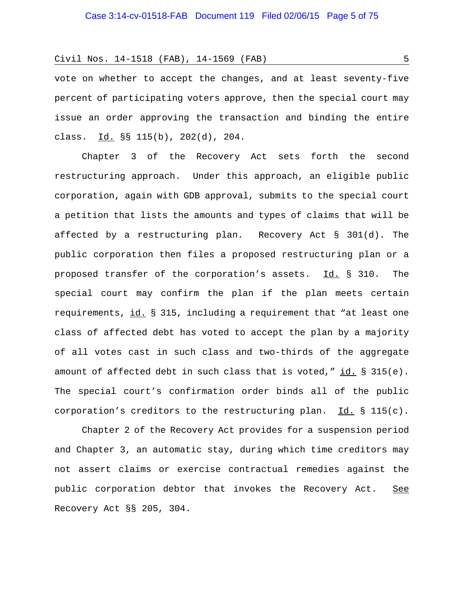vote on whether to accept the changes, and at least seventy-five percent of participating voters approve, then the special court may issue an order approving the transaction and binding the entire class. Id. §§ 115(b), 202(d), 204.

Chapter 3 of the Recovery Act sets forth the second restructuring approach. Under this approach, an eligible public corporation, again with GDB approval, submits to the special court a petition that lists the amounts and types of claims that will be affected by a restructuring plan. Recovery Act § 301(d). The public corporation then files a proposed restructuring plan or a proposed transfer of the corporation's assets. Id. § 310. The special court may confirm the plan if the plan meets certain requirements, id. § 315, including a requirement that "at least one class of affected debt has voted to accept the plan by a majority of all votes cast in such class and two-thirds of the aggregate amount of affected debt in such class that is voted," id.  $\S$  315(e). The special court's confirmation order binds all of the public corporation's creditors to the restructuring plan.  $Id. \S 115(c)$ .

Chapter 2 of the Recovery Act provides for a suspension period and Chapter 3, an automatic stay, during which time creditors may not assert claims or exercise contractual remedies against the public corporation debtor that invokes the Recovery Act. See Recovery Act §§ 205, 304.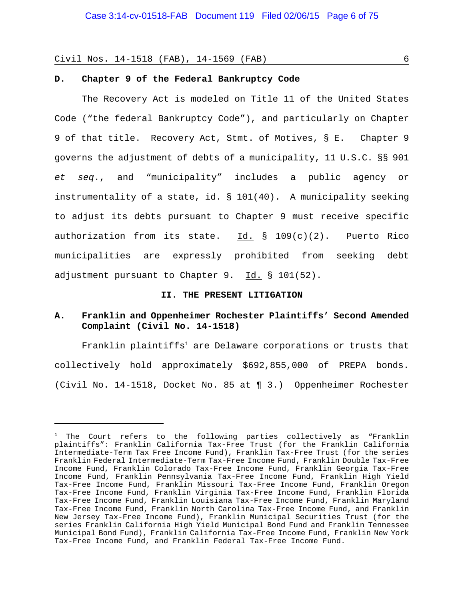## **D. Chapter 9 of the Federal Bankruptcy Code**

The Recovery Act is modeled on Title 11 of the United States Code ("the federal Bankruptcy Code"), and particularly on Chapter 9 of that title. Recovery Act, Stmt. of Motives, § E. Chapter 9 governs the adjustment of debts of a municipality, 11 U.S.C. §§ 901 *et seq*., and "municipality" includes a public agency or instrumentality of a state, id. § 101(40). A municipality seeking to adjust its debts pursuant to Chapter 9 must receive specific authorization from its state.  $\underline{Id.}$  § 109(c)(2). Puerto Rico municipalities are expressly prohibited from seeking debt adjustment pursuant to Chapter 9. Id. § 101(52).

#### **II. THE PRESENT LITIGATION**

## **A. Franklin and Oppenheimer Rochester Plaintiffs' Second Amended Complaint (Civil No. 14-1518)**

 $Franklin$  plaintiffs<sup>1</sup> are Delaware corporations or trusts that collectively hold approximately \$692,855,000 of PREPA bonds. (Civil No. 14-1518, Docket No. 85 at ¶ 3.) Oppenheimer Rochester

 $1$  The Court refers to the following parties collectively as "Franklin plaintiffs": Franklin California Tax-Free Trust (for the Franklin California Intermediate-Term Tax Free Income Fund), Franklin Tax-Free Trust (for the series Franklin Federal Intermediate-Term Tax-Free Income Fund, Franklin Double Tax-Free Income Fund, Franklin Colorado Tax-Free Income Fund, Franklin Georgia Tax-Free Income Fund, Franklin Pennsylvania Tax-Free Income Fund, Franklin High Yield Tax-Free Income Fund, Franklin Missouri Tax-Free Income Fund, Franklin Oregon Tax-Free Income Fund, Franklin Virginia Tax-Free Income Fund, Franklin Florida Tax-Free Income Fund, Franklin Louisiana Tax-Free Income Fund, Franklin Maryland Tax-Free Income Fund, Franklin North Carolina Tax-Free Income Fund, and Franklin New Jersey Tax-Free Income Fund), Franklin Municipal Securities Trust (for the series Franklin California High Yield Municipal Bond Fund and Franklin Tennessee Municipal Bond Fund), Franklin California Tax-Free Income Fund, Franklin New York Tax-Free Income Fund, and Franklin Federal Tax-Free Income Fund.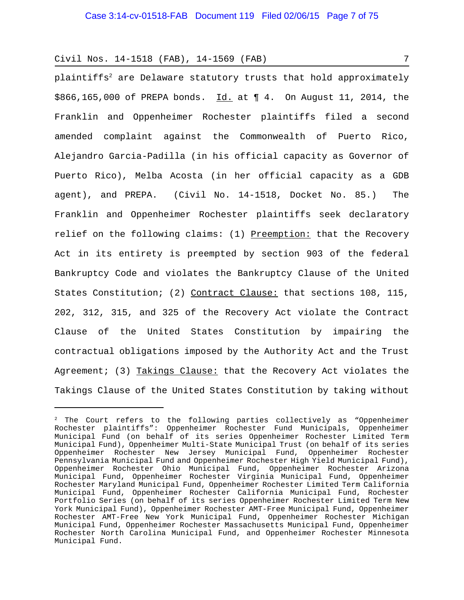plaintiffs $^2$  are Delaware statutory trusts that hold approximately \$866,165,000 of PREPA bonds. Id. at ¶ 4. On August 11, 2014, the Franklin and Oppenheimer Rochester plaintiffs filed a second amended complaint against the Commonwealth of Puerto Rico, Alejandro Garcia-Padilla (in his official capacity as Governor of Puerto Rico), Melba Acosta (in her official capacity as a GDB agent), and PREPA. (Civil No. 14-1518, Docket No. 85.) The Franklin and Oppenheimer Rochester plaintiffs seek declaratory relief on the following claims: (1) Preemption: that the Recovery Act in its entirety is preempted by section 903 of the federal Bankruptcy Code and violates the Bankruptcy Clause of the United States Constitution; (2) Contract Clause: that sections 108, 115, 202, 312, 315, and 325 of the Recovery Act violate the Contract Clause of the United States Constitution by impairing the contractual obligations imposed by the Authority Act and the Trust Agreement; (3) Takings Clause: that the Recovery Act violates the Takings Clause of the United States Constitution by taking without

 $2$  The Court refers to the following parties collectively as "Oppenheimer Rochester plaintiffs": Oppenheimer Rochester Fund Municipals, Oppenheimer Municipal Fund (on behalf of its series Oppenheimer Rochester Limited Term Municipal Fund), Oppenheimer Multi-State Municipal Trust (on behalf of its series Oppenheimer Rochester New Jersey Municipal Fund, Oppenheimer Rochester Pennsylvania Municipal Fund and Oppenheimer Rochester High Yield Municipal Fund), Oppenheimer Rochester Ohio Municipal Fund, Oppenheimer Rochester Arizona Municipal Fund, Oppenheimer Rochester Virginia Municipal Fund, Oppenheimer Rochester Maryland Municipal Fund, Oppenheimer Rochester Limited Term California Municipal Fund, Oppenheimer Rochester California Municipal Fund, Rochester Portfolio Series (on behalf of its series Oppenheimer Rochester Limited Term New York Municipal Fund), Oppenheimer Rochester AMT-Free Municipal Fund, Oppenheimer Rochester AMT-Free New York Municipal Fund, Oppenheimer Rochester Michigan Municipal Fund, Oppenheimer Rochester Massachusetts Municipal Fund, Oppenheimer Rochester North Carolina Municipal Fund, and Oppenheimer Rochester Minnesota Municipal Fund.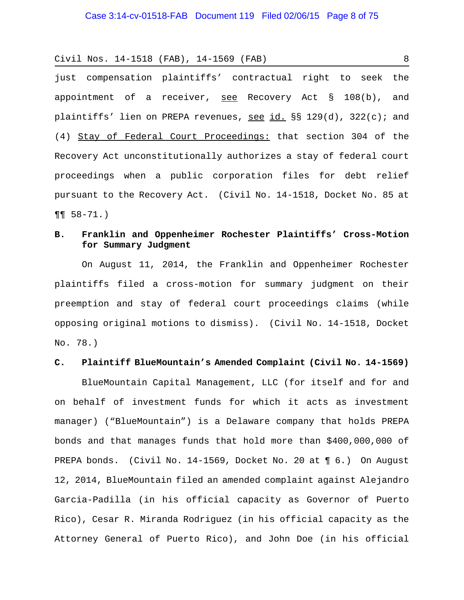just compensation plaintiffs' contractual right to seek the appointment of a receiver, see Recovery Act § 108(b), and plaintiffs' lien on PREPA revenues, see id.  $\S$ § 129(d), 322(c); and (4) Stay of Federal Court Proceedings: that section 304 of the Recovery Act unconstitutionally authorizes a stay of federal court proceedings when a public corporation files for debt relief pursuant to the Recovery Act. (Civil No. 14-1518, Docket No. 85 at  $\P\P$  58-71.)

# **B. Franklin and Oppenheimer Rochester Plaintiffs' Cross-Motion for Summary Judgment**

On August 11, 2014, the Franklin and Oppenheimer Rochester plaintiffs filed a cross-motion for summary judgment on their preemption and stay of federal court proceedings claims (while opposing original motions to dismiss). (Civil No. 14-1518, Docket No. 78.)

## **C. Plaintiff BlueMountain's Amended Complaint (Civil No. 14-1569)**

BlueMountain Capital Management, LLC (for itself and for and on behalf of investment funds for which it acts as investment manager) ("BlueMountain") is a Delaware company that holds PREPA bonds and that manages funds that hold more than \$400,000,000 of PREPA bonds. (Civil No. 14-1569, Docket No. 20 at ¶ 6.) On August 12, 2014, BlueMountain filed an amended complaint against Alejandro Garcia-Padilla (in his official capacity as Governor of Puerto Rico), Cesar R. Miranda Rodriguez (in his official capacity as the Attorney General of Puerto Rico), and John Doe (in his official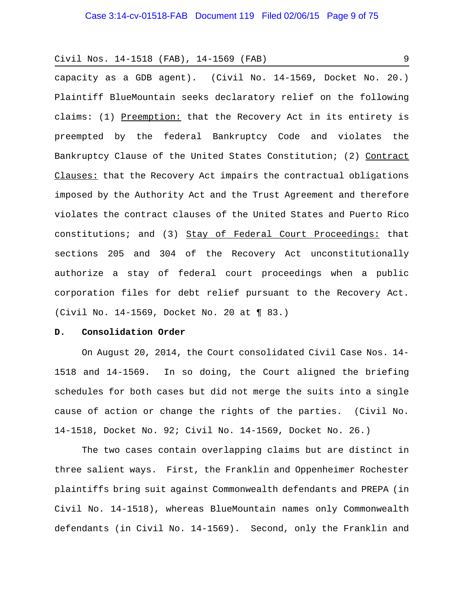capacity as a GDB agent). (Civil No. 14-1569, Docket No. 20.) Plaintiff BlueMountain seeks declaratory relief on the following claims: (1) Preemption: that the Recovery Act in its entirety is preempted by the federal Bankruptcy Code and violates the Bankruptcy Clause of the United States Constitution; (2) Contract Clauses: that the Recovery Act impairs the contractual obligations imposed by the Authority Act and the Trust Agreement and therefore violates the contract clauses of the United States and Puerto Rico constitutions; and (3) Stay of Federal Court Proceedings: that sections 205 and 304 of the Recovery Act unconstitutionally authorize a stay of federal court proceedings when a public corporation files for debt relief pursuant to the Recovery Act. (Civil No. 14-1569, Docket No. 20 at ¶ 83.)

#### **D. Consolidation Order**

On August 20, 2014, the Court consolidated Civil Case Nos. 14- 1518 and 14-1569. In so doing, the Court aligned the briefing schedules for both cases but did not merge the suits into a single cause of action or change the rights of the parties. (Civil No. 14-1518, Docket No. 92; Civil No. 14-1569, Docket No. 26.)

The two cases contain overlapping claims but are distinct in three salient ways. First, the Franklin and Oppenheimer Rochester plaintiffs bring suit against Commonwealth defendants and PREPA (in Civil No. 14-1518), whereas BlueMountain names only Commonwealth defendants (in Civil No. 14-1569). Second, only the Franklin and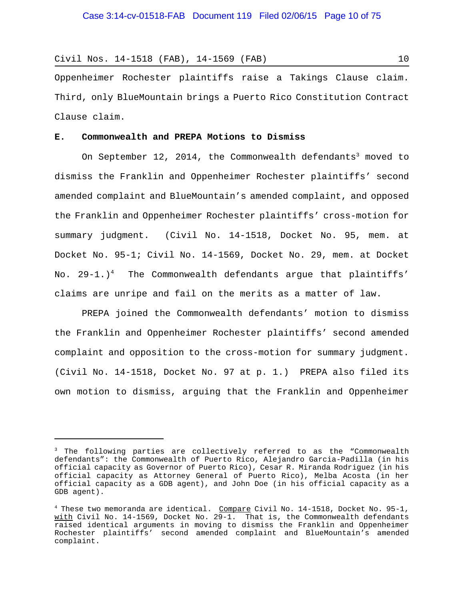Oppenheimer Rochester plaintiffs raise a Takings Clause claim. Third, only BlueMountain brings a Puerto Rico Constitution Contract Clause claim.

## **E. Commonwealth and PREPA Motions to Dismiss**

On September  $12$ ,  $2014$ , the Commonwealth  $\rm{defendants}^3$  moved to dismiss the Franklin and Oppenheimer Rochester plaintiffs' second amended complaint and BlueMountain's amended complaint, and opposed the Franklin and Oppenheimer Rochester plaintiffs' cross-motion for summary judgment. (Civil No. 14-1518, Docket No. 95, mem. at Docket No. 95-1; Civil No. 14-1569, Docket No. 29, mem. at Docket No. 29-1.) $^4$  The Commonwealth defendants argue that plaintiffs' claims are unripe and fail on the merits as a matter of law.

PREPA joined the Commonwealth defendants' motion to dismiss the Franklin and Oppenheimer Rochester plaintiffs' second amended complaint and opposition to the cross-motion for summary judgment. (Civil No. 14-1518, Docket No. 97 at p. 1.) PREPA also filed its own motion to dismiss, arguing that the Franklin and Oppenheimer

<sup>&</sup>lt;sup>3</sup> The following parties are collectively referred to as the "Commonwealth defendants": the Commonwealth of Puerto Rico, Alejandro Garcia-Padilla (in his official capacity as Governor of Puerto Rico), Cesar R. Miranda Rodriguez (in his official capacity as Attorney General of Puerto Rico), Melba Acosta (in her official capacity as a GDB agent), and John Doe (in his official capacity as a GDB agent).

<sup>&</sup>lt;sup>4</sup> These two memoranda are identical. Compare Civil No. 14-1518, Docket No. 95-1, with Civil No. 14-1569, Docket No. 29-1. That is, the Commonwealth defendants raised identical arguments in moving to dismiss the Franklin and Oppenheimer Rochester plaintiffs' second amended complaint and BlueMountain's amended complaint.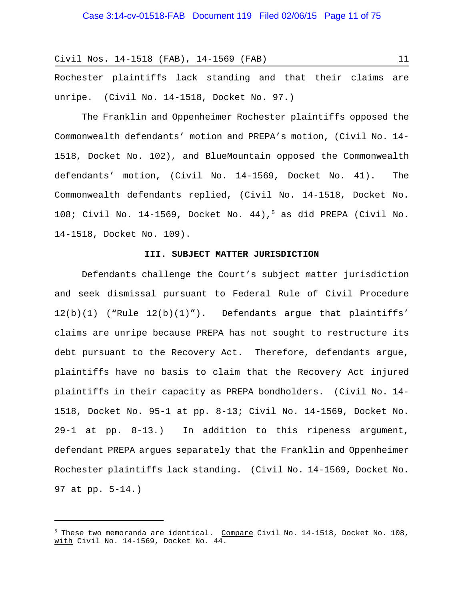Rochester plaintiffs lack standing and that their claims are unripe. (Civil No. 14-1518, Docket No. 97.)

The Franklin and Oppenheimer Rochester plaintiffs opposed the Commonwealth defendants' motion and PREPA's motion, (Civil No. 14- 1518, Docket No. 102), and BlueMountain opposed the Commonwealth defendants' motion, (Civil No. 14-1569, Docket No. 41). The Commonwealth defendants replied, (Civil No. 14-1518, Docket No. 108; Civil No. 14-1569, Docket No. 44),5 as did PREPA (Civil No. 14-1518, Docket No. 109).

### **III. SUBJECT MATTER JURISDICTION**

Defendants challenge the Court's subject matter jurisdiction and seek dismissal pursuant to Federal Rule of Civil Procedure  $12(b)(1)$  ("Rule  $12(b)(1)$ "). Defendants argue that plaintiffs' claims are unripe because PREPA has not sought to restructure its debt pursuant to the Recovery Act. Therefore, defendants argue, plaintiffs have no basis to claim that the Recovery Act injured plaintiffs in their capacity as PREPA bondholders. (Civil No. 14- 1518, Docket No. 95-1 at pp. 8-13; Civil No. 14-1569, Docket No. 29-1 at pp. 8-13.) In addition to this ripeness argument, defendant PREPA argues separately that the Franklin and Oppenheimer Rochester plaintiffs lack standing. (Civil No. 14-1569, Docket No. 97 at pp. 5-14.)

<sup>&</sup>lt;sup>5</sup> These two memoranda are identical. Compare Civil No. 14-1518, Docket No. 108, with Civil No. 14-1569, Docket No. 44.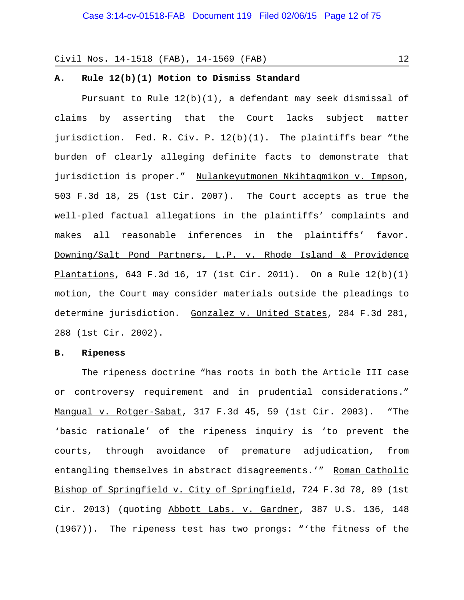### **A. Rule 12(b)(1) Motion to Dismiss Standard**

Pursuant to Rule  $12(b)(1)$ , a defendant may seek dismissal of claims by asserting that the Court lacks subject matter jurisdiction. Fed. R. Civ. P. 12(b)(1). The plaintiffs bear "the burden of clearly alleging definite facts to demonstrate that jurisdiction is proper." Nulankeyutmonen Nkihtaqmikon v. Impson, 503 F.3d 18, 25 (1st Cir. 2007). The Court accepts as true the well-pled factual allegations in the plaintiffs' complaints and makes all reasonable inferences in the plaintiffs' favor. Downing/Salt Pond Partners, L.P. v. Rhode Island & Providence Plantations, 643 F.3d 16, 17 (1st Cir. 2011). On a Rule 12(b)(1) motion, the Court may consider materials outside the pleadings to determine jurisdiction. Gonzalez v. United States, 284 F.3d 281, 288 (1st Cir. 2002).

### **B. Ripeness**

The ripeness doctrine "has roots in both the Article III case or controversy requirement and in prudential considerations." Mangual v. Rotger-Sabat, 317 F.3d 45, 59 (1st Cir. 2003). "The 'basic rationale' of the ripeness inquiry is 'to prevent the courts, through avoidance of premature adjudication, from entangling themselves in abstract disagreements.'" Roman Catholic Bishop of Springfield v. City of Springfield, 724 F.3d 78, 89 (1st Cir. 2013) (quoting Abbott Labs. v. Gardner, 387 U.S. 136, 148 (1967)). The ripeness test has two prongs: "'the fitness of the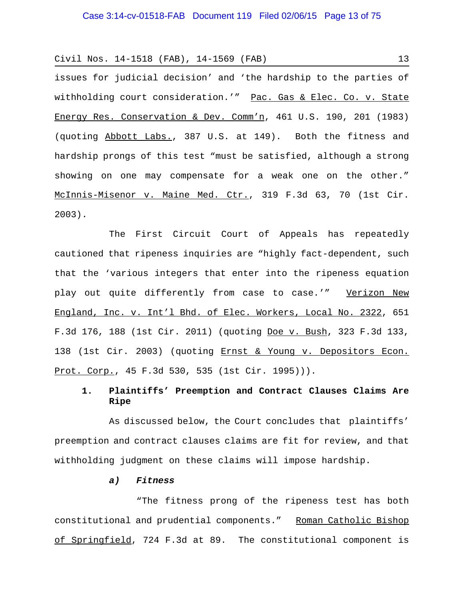issues for judicial decision' and 'the hardship to the parties of withholding court consideration.'" Pac. Gas & Elec. Co. v. State Energy Res. Conservation & Dev. Comm'n, 461 U.S. 190, 201 (1983) (quoting Abbott Labs., 387 U.S. at 149). Both the fitness and hardship prongs of this test "must be satisfied, although a strong showing on one may compensate for a weak one on the other." McInnis-Misenor v. Maine Med. Ctr., 319 F.3d 63, 70 (1st Cir. 2003).

The First Circuit Court of Appeals has repeatedly cautioned that ripeness inquiries are "highly fact-dependent, such that the 'various integers that enter into the ripeness equation play out quite differently from case to case.'" Verizon New England, Inc. v. Int'l Bhd. of Elec. Workers, Local No. 2322, 651 F.3d 176, 188 (1st Cir. 2011) (quoting Doe v. Bush, 323 F.3d 133, 138 (1st Cir. 2003) (quoting Ernst & Young v. Depositors Econ. Prot. Corp., 45 F.3d 530, 535 (1st Cir. 1995))).

# **1. Plaintiffs' Preemption and Contract Clauses Claims Are Ripe**

As discussed below, the Court concludes that plaintiffs' preemption and contract clauses claims are fit for review, and that withholding judgment on these claims will impose hardship.

## *a) Fitness*

"The fitness prong of the ripeness test has both constitutional and prudential components." Roman Catholic Bishop of Springfield, 724 F.3d at 89. The constitutional component is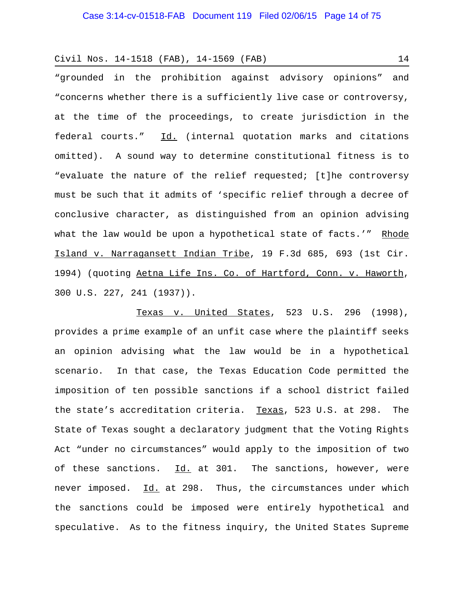"grounded in the prohibition against advisory opinions" and "concerns whether there is a sufficiently live case or controversy, at the time of the proceedings, to create jurisdiction in the federal courts." Id. (internal quotation marks and citations omitted). A sound way to determine constitutional fitness is to "evaluate the nature of the relief requested; [t]he controversy must be such that it admits of 'specific relief through a decree of conclusive character, as distinguished from an opinion advising what the law would be upon a hypothetical state of facts.'" Rhode Island v. Narragansett Indian Tribe, 19 F.3d 685, 693 (1st Cir. 1994) (quoting Aetna Life Ins. Co. of Hartford, Conn. v. Haworth, 300 U.S. 227, 241 (1937)).

Texas v. United States, 523 U.S. 296 (1998), provides a prime example of an unfit case where the plaintiff seeks an opinion advising what the law would be in a hypothetical scenario. In that case, the Texas Education Code permitted the imposition of ten possible sanctions if a school district failed the state's accreditation criteria. Texas, 523 U.S. at 298. The State of Texas sought a declaratory judgment that the Voting Rights Act "under no circumstances" would apply to the imposition of two of these sanctions.  $Id.$  at 301. The sanctions, however, were never imposed. Id. at 298. Thus, the circumstances under which the sanctions could be imposed were entirely hypothetical and speculative. As to the fitness inquiry, the United States Supreme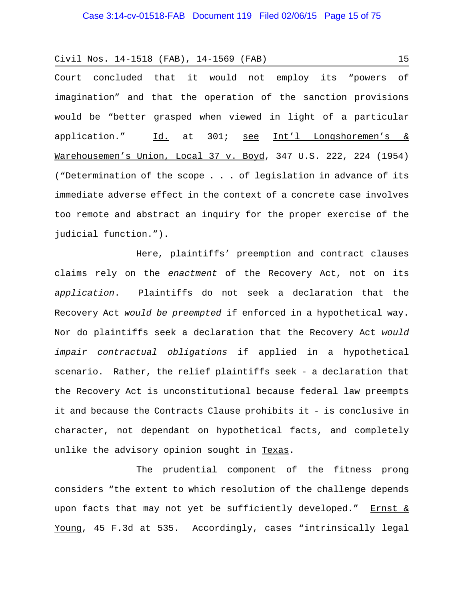Court concluded that it would not employ its "powers of imagination" and that the operation of the sanction provisions would be "better grasped when viewed in light of a particular application." Id. at 301; see Int'l Longshoremen's & Warehousemen's Union, Local 37 v. Boyd, 347 U.S. 222, 224 (1954) ("Determination of the scope . . . of legislation in advance of its immediate adverse effect in the context of a concrete case involves too remote and abstract an inquiry for the proper exercise of the judicial function.").

Here, plaintiffs' preemption and contract clauses claims rely on the *enactment* of the Recovery Act, not on its *application*. Plaintiffs do not seek a declaration that the Recovery Act *would be preempted* if enforced in a hypothetical way. Nor do plaintiffs seek a declaration that the Recovery Act *would impair contractual obligations* if applied in a hypothetical scenario. Rather, the relief plaintiffs seek - a declaration that the Recovery Act is unconstitutional because federal law preempts it and because the Contracts Clause prohibits it - is conclusive in character, not dependant on hypothetical facts, and completely unlike the advisory opinion sought in Texas.

The prudential component of the fitness prong considers "the extent to which resolution of the challenge depends upon facts that may not yet be sufficiently developed." Ernst & Young, 45 F.3d at 535. Accordingly, cases "intrinsically legal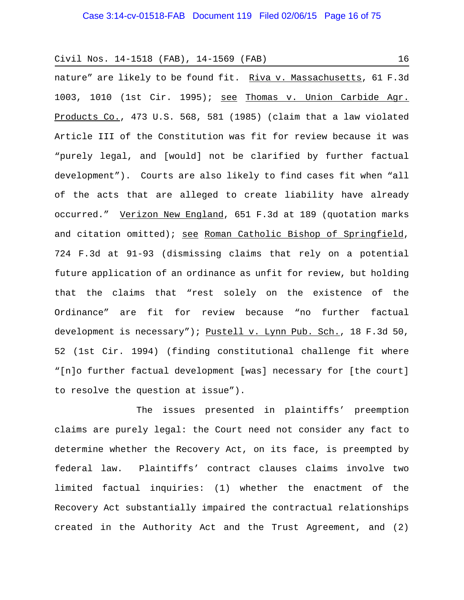nature" are likely to be found fit. Riva v. Massachusetts, 61 F.3d 1003, 1010 (1st Cir. 1995); see Thomas v. Union Carbide Agr. Products Co., 473 U.S. 568, 581 (1985) (claim that a law violated Article III of the Constitution was fit for review because it was "purely legal, and [would] not be clarified by further factual development"). Courts are also likely to find cases fit when "all of the acts that are alleged to create liability have already occurred." Verizon New England, 651 F.3d at 189 (quotation marks and citation omitted); see Roman Catholic Bishop of Springfield, 724 F.3d at 91-93 (dismissing claims that rely on a potential future application of an ordinance as unfit for review, but holding that the claims that "rest solely on the existence of the Ordinance" are fit for review because "no further factual development is necessary"); Pustell v. Lynn Pub. Sch., 18 F.3d 50, 52 (1st Cir. 1994) (finding constitutional challenge fit where "[n]o further factual development [was] necessary for [the court] to resolve the question at issue").

The issues presented in plaintiffs' preemption claims are purely legal: the Court need not consider any fact to determine whether the Recovery Act, on its face, is preempted by federal law. Plaintiffs' contract clauses claims involve two limited factual inquiries: (1) whether the enactment of the Recovery Act substantially impaired the contractual relationships created in the Authority Act and the Trust Agreement, and (2)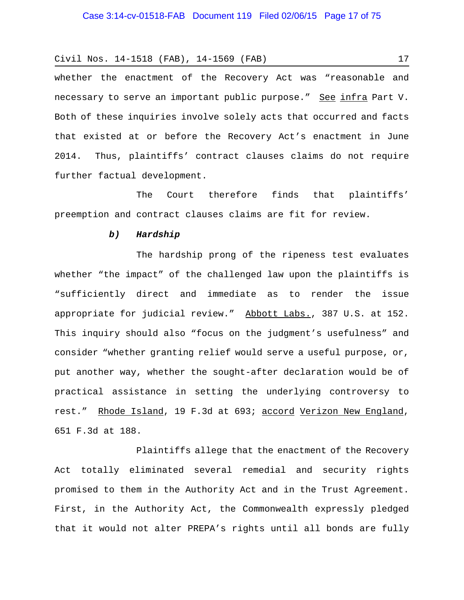whether the enactment of the Recovery Act was "reasonable and necessary to serve an important public purpose." See infra Part V. Both of these inquiries involve solely acts that occurred and facts that existed at or before the Recovery Act's enactment in June 2014. Thus, plaintiffs' contract clauses claims do not require further factual development.

The Court therefore finds that plaintiffs' preemption and contract clauses claims are fit for review.

### *b) Hardship*

The hardship prong of the ripeness test evaluates whether "the impact" of the challenged law upon the plaintiffs is "sufficiently direct and immediate as to render the issue appropriate for judicial review." Abbott Labs., 387 U.S. at 152. This inquiry should also "focus on the judgment's usefulness" and consider "whether granting relief would serve a useful purpose, or, put another way, whether the sought-after declaration would be of practical assistance in setting the underlying controversy to rest." Rhode Island, 19 F.3d at 693; accord Verizon New England, 651 F.3d at 188.

Plaintiffs allege that the enactment of the Recovery Act totally eliminated several remedial and security rights promised to them in the Authority Act and in the Trust Agreement. First, in the Authority Act, the Commonwealth expressly pledged that it would not alter PREPA's rights until all bonds are fully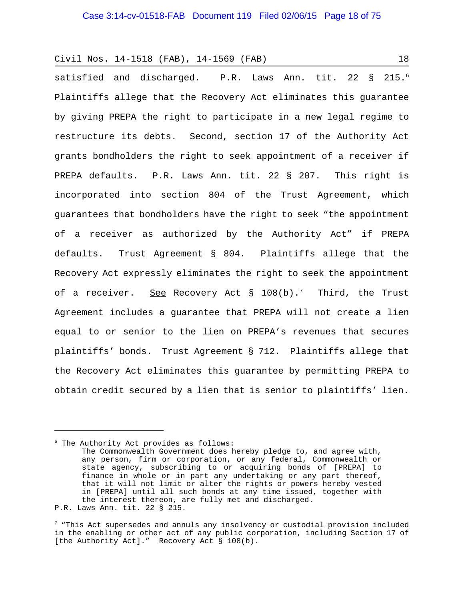satisfied and discharged. P.R. Laws Ann. tit. 22 § 215.<sup>6</sup> Plaintiffs allege that the Recovery Act eliminates this guarantee by giving PREPA the right to participate in a new legal regime to restructure its debts. Second, section 17 of the Authority Act grants bondholders the right to seek appointment of a receiver if PREPA defaults. P.R. Laws Ann. tit. 22 § 207. This right is incorporated into section 804 of the Trust Agreement, which guarantees that bondholders have the right to seek "the appointment of a receiver as authorized by the Authority Act" if PREPA defaults. Trust Agreement § 804. Plaintiffs allege that the Recovery Act expressly eliminates the right to seek the appointment of a receiver. See Recovery Act  $\S$  108(b).<sup>7</sup> Third, the Trust Agreement includes a guarantee that PREPA will not create a lien equal to or senior to the lien on PREPA's revenues that secures plaintiffs' bonds. Trust Agreement § 712. Plaintiffs allege that the Recovery Act eliminates this guarantee by permitting PREPA to obtain credit secured by a lien that is senior to plaintiffs' lien.

6 The Authority Act provides as follows: The Commonwealth Government does hereby pledge to, and agree with, any person, firm or corporation, or any federal, Commonwealth or state agency, subscribing to or acquiring bonds of [PREPA] to finance in whole or in part any undertaking or any part thereof, that it will not limit or alter the rights or powers hereby vested in [PREPA] until all such bonds at any time issued, together with the interest thereon, are fully met and discharged. P.R. Laws Ann. tit. 22 § 215.

<sup>7 &</sup>quot;This Act supersedes and annuls any insolvency or custodial provision included in the enabling or other act of any public corporation, including Section 17 of [the Authority Act]." Recovery Act § 108(b).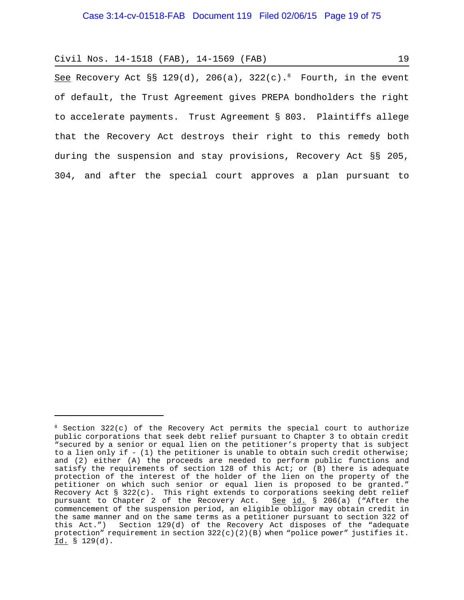See Recovery Act §§ 129(d), 206(a), 322(c).<sup>8</sup> Fourth, in the event of default, the Trust Agreement gives PREPA bondholders the right to accelerate payments. Trust Agreement § 803. Plaintiffs allege that the Recovery Act destroys their right to this remedy both during the suspension and stay provisions, Recovery Act §§ 205, 304, and after the special court approves a plan pursuant to

 $8$  Section 322(c) of the Recovery Act permits the special court to authorize public corporations that seek debt relief pursuant to Chapter 3 to obtain credit "secured by a senior or equal lien on the petitioner's property that is subject to a lien only if - (1) the petitioner is unable to obtain such credit otherwise; and (2) either (A) the proceeds are needed to perform public functions and satisfy the requirements of section 128 of this Act; or (B) there is adequate protection of the interest of the holder of the lien on the property of the petitioner on which such senior or equal lien is proposed to be granted." Recovery Act § 322(c). This right extends to corporations seeking debt relief pursuant to Chapter 2 of the Recovery Act. See id. § 206(a) ("After the commencement of the suspension period, an eligible obligor may obtain credit in the same manner and on the same terms as a petitioner pursuant to section 322 of this Act.") Section 129(d) of the Recovery Act disposes of the "adequate protection" requirement in section  $322(c)(2)(B)$  when "police power" justifies it. Id. § 129(d).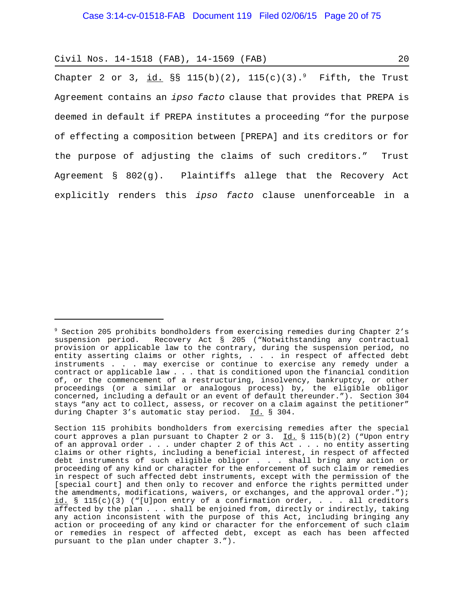Chapter 2 or 3, <u>id.</u> §§ 115(b)(2), 115(c)(3).<sup>9</sup> Fifth, the Trust Agreement contains an *ipso facto* clause that provides that PREPA is deemed in default if PREPA institutes a proceeding "for the purpose of effecting a composition between [PREPA] and its creditors or for the purpose of adjusting the claims of such creditors." Trust Agreement § 802(g). Plaintiffs allege that the Recovery Act explicitly renders this *ipso facto* clause unenforceable in a

<sup>9</sup> Section 205 prohibits bondholders from exercising remedies during Chapter 2's suspension period. Recovery Act § 205 ("Notwithstanding any contractual provision or applicable law to the contrary, during the suspension period, no entity asserting claims or other rights, . . . in respect of affected debt instruments . . . may exercise or continue to exercise any remedy under a contract or applicable law . . . that is conditioned upon the financial condition of, or the commencement of a restructuring, insolvency, bankruptcy, or other proceedings (or a similar or analogous process) by, the eligible obligor concerned, including a default or an event of default thereunder."). Section 304 stays "any act to collect, assess, or recover on a claim against the petitioner" during Chapter 3's automatic stay period. Id. § 304.

Section 115 prohibits bondholders from exercising remedies after the special court approves a plan pursuant to Chapter 2 or 3.  $Id.$  § 115(b)(2) ("Upon entry of an approval order . . . under chapter 2 of this Act . . . no entity asserting claims or other rights, including a beneficial interest, in respect of affected debt instruments of such eligible obligor . . . shall bring any action or proceeding of any kind or character for the enforcement of such claim or remedies in respect of such affected debt instruments, except with the permission of the [special court] and then only to recover and enforce the rights permitted under the amendments, modifications, waivers, or exchanges, and the approval order."); id. § 115(c)(3) ("[U]pon entry of a confirmation order, . . . all creditors affected by the plan . . . shall be enjoined from, directly or indirectly, taking any action inconsistent with the purpose of this Act, including bringing any action or proceeding of any kind or character for the enforcement of such claim or remedies in respect of affected debt, except as each has been affected pursuant to the plan under chapter 3.").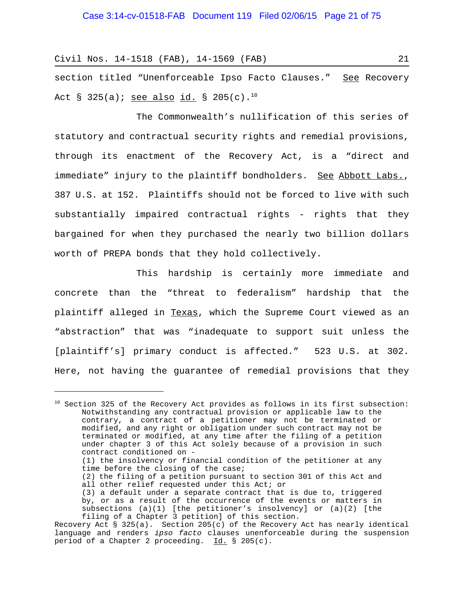section titled "Unenforceable Ipso Facto Clauses." See Recovery Act § 325(a); see also id. § 205(c).<sup>10</sup>

The Commonwealth's nullification of this series of statutory and contractual security rights and remedial provisions, through its enactment of the Recovery Act, is a "direct and immediate" injury to the plaintiff bondholders. See Abbott Labs., 387 U.S. at 152. Plaintiffs should not be forced to live with such substantially impaired contractual rights - rights that they bargained for when they purchased the nearly two billion dollars worth of PREPA bonds that they hold collectively.

This hardship is certainly more immediate and concrete than the "threat to federalism" hardship that the plaintiff alleged in Texas, which the Supreme Court viewed as an "abstraction" that was "inadequate to support suit unless the [plaintiff's] primary conduct is affected." 523 U.S. at 302. Here, not having the guarantee of remedial provisions that they

<sup>&</sup>lt;sup>10</sup> Section 325 of the Recovery Act provides as follows in its first subsection: Notwithstanding any contractual provision or applicable law to the contrary, a contract of a petitioner may not be terminated or modified, and any right or obligation under such contract may not be terminated or modified, at any time after the filing of a petition under chapter 3 of this Act solely because of a provision in such contract conditioned on - (1) the insolvency or financial condition of the petitioner at any time before the closing of the case; (2) the filing of a petition pursuant to section 301 of this Act and all other relief requested under this Act; or (3) a default under a separate contract that is due to, triggered by, or as a result of the occurrence of the events or matters in subsections (a)(1) [the petitioner's insolvency] or (a)(2) [the filing of a Chapter 3 petition] of this section.

Recovery Act § 325(a). Section 205(c) of the Recovery Act has nearly identical language and renders *ipso facto* clauses unenforceable during the suspension period of a Chapter 2 proceeding. Id. § 205(c).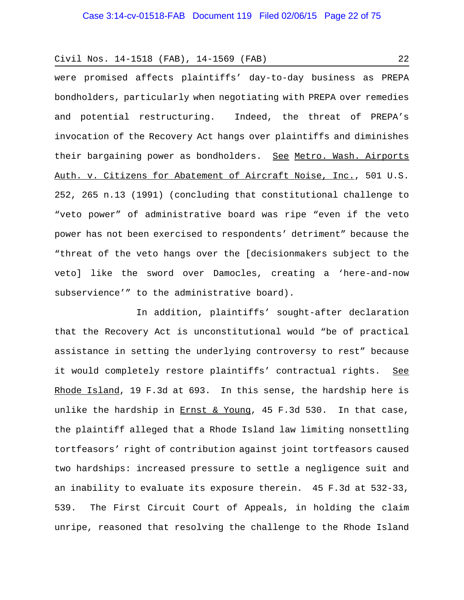were promised affects plaintiffs' day-to-day business as PREPA bondholders, particularly when negotiating with PREPA over remedies and potential restructuring. Indeed, the threat of PREPA's invocation of the Recovery Act hangs over plaintiffs and diminishes their bargaining power as bondholders. See Metro. Wash. Airports Auth. v. Citizens for Abatement of Aircraft Noise, Inc., 501 U.S. 252, 265 n.13 (1991) (concluding that constitutional challenge to "veto power" of administrative board was ripe "even if the veto power has not been exercised to respondents' detriment" because the "threat of the veto hangs over the [decisionmakers subject to the veto] like the sword over Damocles, creating a 'here-and-now subservience'" to the administrative board).

In addition, plaintiffs' sought-after declaration that the Recovery Act is unconstitutional would "be of practical assistance in setting the underlying controversy to rest" because it would completely restore plaintiffs' contractual rights. See Rhode Island, 19 F.3d at 693. In this sense, the hardship here is unlike the hardship in  $Ernst & Young$ , 45 F.3d 530. In that case,</u> the plaintiff alleged that a Rhode Island law limiting nonsettling tortfeasors' right of contribution against joint tortfeasors caused two hardships: increased pressure to settle a negligence suit and an inability to evaluate its exposure therein. 45 F.3d at 532-33, 539. The First Circuit Court of Appeals, in holding the claim unripe, reasoned that resolving the challenge to the Rhode Island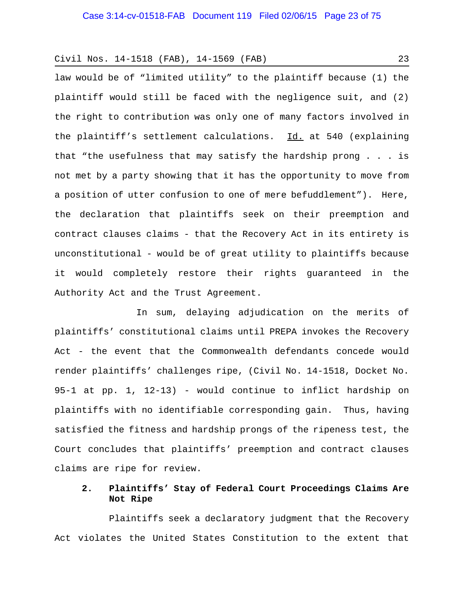law would be of "limited utility" to the plaintiff because (1) the plaintiff would still be faced with the negligence suit, and (2) the right to contribution was only one of many factors involved in the plaintiff's settlement calculations. Id. at 540 (explaining that "the usefulness that may satisfy the hardship prong . . . is not met by a party showing that it has the opportunity to move from a position of utter confusion to one of mere befuddlement"). Here, the declaration that plaintiffs seek on their preemption and contract clauses claims - that the Recovery Act in its entirety is unconstitutional - would be of great utility to plaintiffs because it would completely restore their rights guaranteed in the Authority Act and the Trust Agreement.

In sum, delaying adjudication on the merits of plaintiffs' constitutional claims until PREPA invokes the Recovery Act - the event that the Commonwealth defendants concede would render plaintiffs' challenges ripe, (Civil No. 14-1518, Docket No. 95-1 at pp. 1, 12-13) - would continue to inflict hardship on plaintiffs with no identifiable corresponding gain. Thus, having satisfied the fitness and hardship prongs of the ripeness test, the Court concludes that plaintiffs' preemption and contract clauses claims are ripe for review.

# **2. Plaintiffs' Stay of Federal Court Proceedings Claims Are Not Ripe**

Plaintiffs seek a declaratory judgment that the Recovery Act violates the United States Constitution to the extent that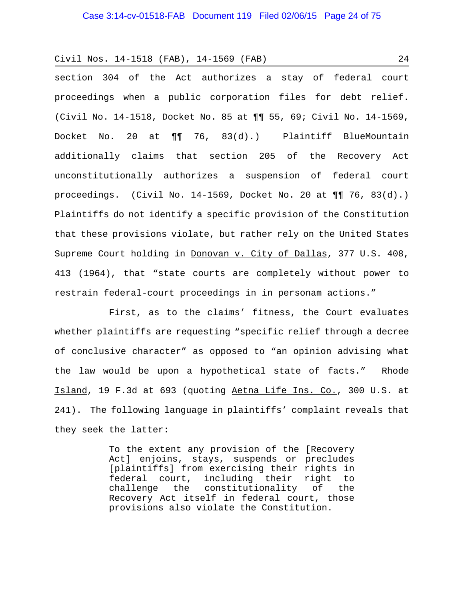section 304 of the Act authorizes a stay of federal court proceedings when a public corporation files for debt relief. (Civil No. 14-1518, Docket No. 85 at ¶¶ 55, 69; Civil No. 14-1569, Docket No. 20 at ¶¶ 76, 83(d).) Plaintiff BlueMountain additionally claims that section 205 of the Recovery Act unconstitutionally authorizes a suspension of federal court proceedings. (Civil No. 14-1569, Docket No. 20 at  $\P\P$  76, 83(d).) Plaintiffs do not identify a specific provision of the Constitution that these provisions violate, but rather rely on the United States Supreme Court holding in Donovan v. City of Dallas, 377 U.S. 408, 413 (1964), that "state courts are completely without power to restrain federal-court proceedings in in personam actions."

First, as to the claims' fitness, the Court evaluates whether plaintiffs are requesting "specific relief through a decree of conclusive character" as opposed to "an opinion advising what the law would be upon a hypothetical state of facts." Rhode Island, 19 F.3d at 693 (quoting Aetna Life Ins. Co., 300 U.S. at 241). The following language in plaintiffs' complaint reveals that they seek the latter:

> To the extent any provision of the [Recovery Act] enjoins, stays, suspends or precludes [plaintiffs] from exercising their rights in federal court, including their right to challenge the constitutionality of the Recovery Act itself in federal court, those provisions also violate the Constitution.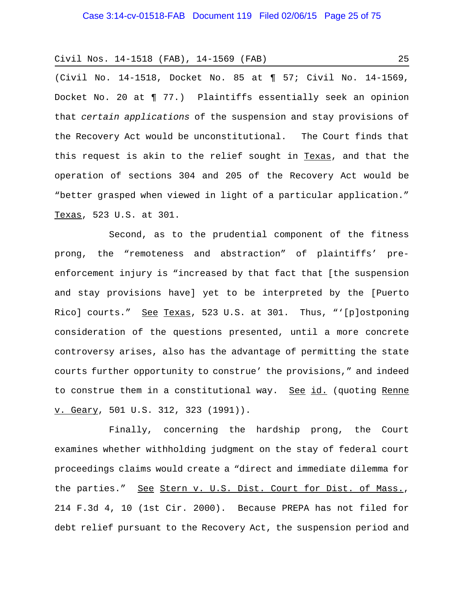(Civil No. 14-1518, Docket No. 85 at ¶ 57; Civil No. 14-1569, Docket No. 20 at ¶ 77.) Plaintiffs essentially seek an opinion that *certain applications* of the suspension and stay provisions of the Recovery Act would be unconstitutional. The Court finds that this request is akin to the relief sought in Texas, and that the operation of sections 304 and 205 of the Recovery Act would be "better grasped when viewed in light of a particular application." Texas, 523 U.S. at 301.

Second, as to the prudential component of the fitness prong, the "remoteness and abstraction" of plaintiffs' preenforcement injury is "increased by that fact that [the suspension and stay provisions have] yet to be interpreted by the [Puerto Rico] courts." See Texas, 523 U.S. at 301. Thus, "'[p]ostponing consideration of the questions presented, until a more concrete controversy arises, also has the advantage of permitting the state courts further opportunity to construe' the provisions," and indeed to construe them in a constitutional way. See id. (quoting Renne v. Geary, 501 U.S. 312, 323 (1991)).

Finally, concerning the hardship prong, the Court examines whether withholding judgment on the stay of federal court proceedings claims would create a "direct and immediate dilemma for the parties." See Stern v. U.S. Dist. Court for Dist. of Mass., 214 F.3d 4, 10 (1st Cir. 2000). Because PREPA has not filed for debt relief pursuant to the Recovery Act, the suspension period and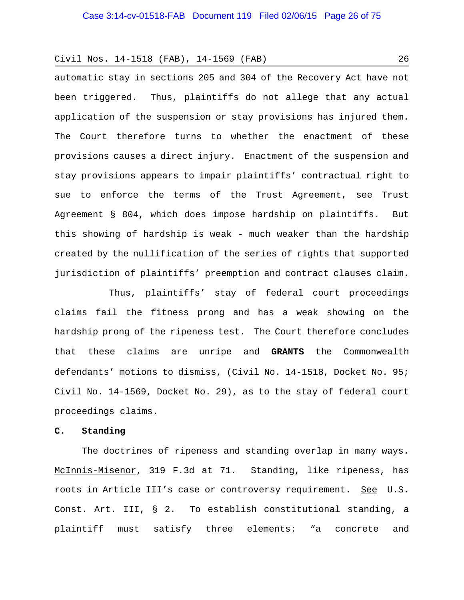automatic stay in sections 205 and 304 of the Recovery Act have not been triggered. Thus, plaintiffs do not allege that any actual application of the suspension or stay provisions has injured them. The Court therefore turns to whether the enactment of these provisions causes a direct injury. Enactment of the suspension and stay provisions appears to impair plaintiffs' contractual right to sue to enforce the terms of the Trust Agreement, see Trust Agreement § 804, which does impose hardship on plaintiffs. But this showing of hardship is weak - much weaker than the hardship created by the nullification of the series of rights that supported jurisdiction of plaintiffs' preemption and contract clauses claim.

Thus, plaintiffs' stay of federal court proceedings claims fail the fitness prong and has a weak showing on the hardship prong of the ripeness test. The Court therefore concludes that these claims are unripe and **GRANTS** the Commonwealth defendants' motions to dismiss, (Civil No. 14-1518, Docket No. 95; Civil No. 14-1569, Docket No. 29), as to the stay of federal court proceedings claims.

### **C. Standing**

The doctrines of ripeness and standing overlap in many ways. McInnis-Misenor, 319 F.3d at 71. Standing, like ripeness, has roots in Article III's case or controversy requirement. See U.S. Const. Art. III, § 2. To establish constitutional standing, a plaintiff must satisfy three elements: "a concrete and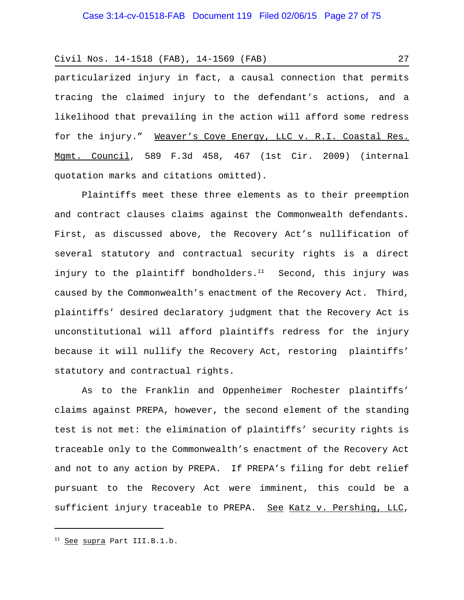particularized injury in fact, a causal connection that permits tracing the claimed injury to the defendant's actions, and a likelihood that prevailing in the action will afford some redress for the injury." Weaver's Cove Energy, LLC v. R.I. Coastal Res. Mgmt. Council, 589 F.3d 458, 467 (1st Cir. 2009) (internal quotation marks and citations omitted).

Plaintiffs meet these three elements as to their preemption and contract clauses claims against the Commonwealth defendants. First, as discussed above, the Recovery Act's nullification of several statutory and contractual security rights is a direct injury to the plaintiff bondholders. $11$  Second, this injury was caused by the Commonwealth's enactment of the Recovery Act. Third, plaintiffs' desired declaratory judgment that the Recovery Act is unconstitutional will afford plaintiffs redress for the injury because it will nullify the Recovery Act, restoring plaintiffs' statutory and contractual rights.

As to the Franklin and Oppenheimer Rochester plaintiffs' claims against PREPA, however, the second element of the standing test is not met: the elimination of plaintiffs' security rights is traceable only to the Commonwealth's enactment of the Recovery Act and not to any action by PREPA. If PREPA's filing for debt relief pursuant to the Recovery Act were imminent, this could be a sufficient injury traceable to PREPA. See Katz v. Pershing, LLC,

<sup>&</sup>lt;sup>11</sup> See supra Part III.B.1.b.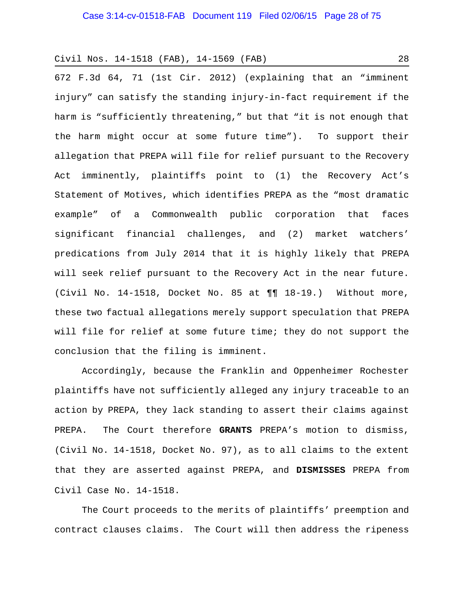672 F.3d 64, 71 (1st Cir. 2012) (explaining that an "imminent injury" can satisfy the standing injury-in-fact requirement if the harm is "sufficiently threatening," but that "it is not enough that the harm might occur at some future time"). To support their allegation that PREPA will file for relief pursuant to the Recovery Act imminently, plaintiffs point to (1) the Recovery Act's Statement of Motives, which identifies PREPA as the "most dramatic example" of a Commonwealth public corporation that faces significant financial challenges, and (2) market watchers' predications from July 2014 that it is highly likely that PREPA will seek relief pursuant to the Recovery Act in the near future. (Civil No. 14-1518, Docket No. 85 at ¶¶ 18-19.) Without more, these two factual allegations merely support speculation that PREPA will file for relief at some future time; they do not support the conclusion that the filing is imminent.

Accordingly, because the Franklin and Oppenheimer Rochester plaintiffs have not sufficiently alleged any injury traceable to an action by PREPA, they lack standing to assert their claims against PREPA. The Court therefore **GRANTS** PREPA's motion to dismiss, (Civil No. 14-1518, Docket No. 97), as to all claims to the extent that they are asserted against PREPA, and **DISMISSES** PREPA from Civil Case No. 14-1518.

The Court proceeds to the merits of plaintiffs' preemption and contract clauses claims. The Court will then address the ripeness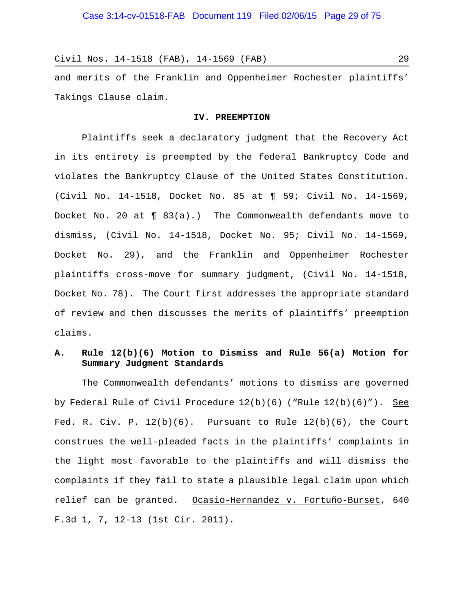and merits of the Franklin and Oppenheimer Rochester plaintiffs' Takings Clause claim.

### **IV. PREEMPTION**

Plaintiffs seek a declaratory judgment that the Recovery Act in its entirety is preempted by the federal Bankruptcy Code and violates the Bankruptcy Clause of the United States Constitution. (Civil No. 14-1518, Docket No. 85 at ¶ 59; Civil No. 14-1569, Docket No. 20 at ¶ 83(a).) The Commonwealth defendants move to dismiss, (Civil No. 14-1518, Docket No. 95; Civil No. 14-1569, Docket No. 29), and the Franklin and Oppenheimer Rochester plaintiffs cross-move for summary judgment, (Civil No. 14-1518, Docket No. 78). The Court first addresses the appropriate standard of review and then discusses the merits of plaintiffs' preemption claims.

# **A. Rule 12(b)(6) Motion to Dismiss and Rule 56(a) Motion for Summary Judgment Standards**

The Commonwealth defendants' motions to dismiss are governed by Federal Rule of Civil Procedure 12(b)(6) ("Rule 12(b)(6)"). See Fed. R. Civ. P.  $12(b)(6)$ . Pursuant to Rule  $12(b)(6)$ , the Court construes the well-pleaded facts in the plaintiffs' complaints in the light most favorable to the plaintiffs and will dismiss the complaints if they fail to state a plausible legal claim upon which relief can be granted. Ocasio-Hernandez v. Fortuño-Burset, 640 F.3d 1, 7, 12-13 (1st Cir. 2011).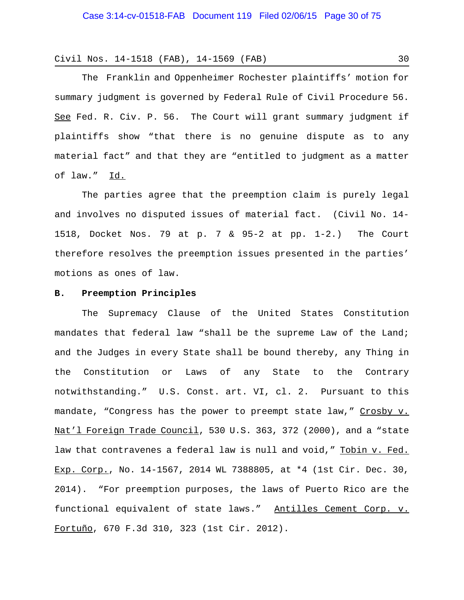The Franklin and Oppenheimer Rochester plaintiffs' motion for summary judgment is governed by Federal Rule of Civil Procedure 56. See Fed. R. Civ. P. 56. The Court will grant summary judgment if plaintiffs show "that there is no genuine dispute as to any material fact" and that they are "entitled to judgment as a matter of law." Id.

The parties agree that the preemption claim is purely legal and involves no disputed issues of material fact. (Civil No. 14- 1518, Docket Nos. 79 at p. 7 & 95-2 at pp. 1-2.) The Court therefore resolves the preemption issues presented in the parties' motions as ones of law.

### **B. Preemption Principles**

The Supremacy Clause of the United States Constitution mandates that federal law "shall be the supreme Law of the Land; and the Judges in every State shall be bound thereby, any Thing in the Constitution or Laws of any State to the Contrary notwithstanding." U.S. Const. art. VI, cl. 2. Pursuant to this mandate, "Congress has the power to preempt state law," Crosby v. Nat'l Foreign Trade Council, 530 U.S. 363, 372 (2000), and a "state law that contravenes a federal law is null and void," Tobin v. Fed. Exp. Corp., No. 14-1567, 2014 WL 7388805, at \*4 (1st Cir. Dec. 30, 2014). "For preemption purposes, the laws of Puerto Rico are the functional equivalent of state laws." Antilles Cement Corp. v. Fortuño, 670 F.3d 310, 323 (1st Cir. 2012).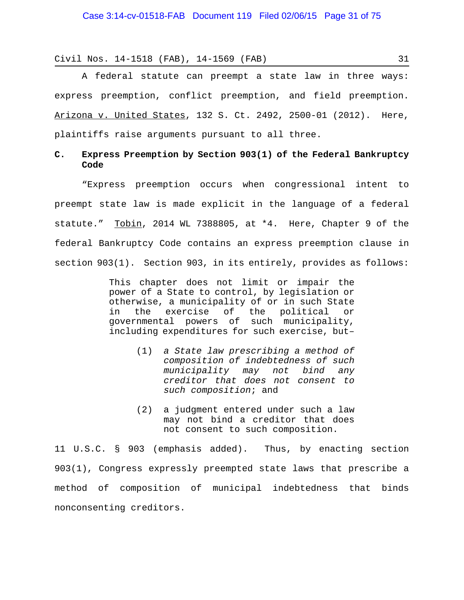A federal statute can preempt a state law in three ways: express preemption, conflict preemption, and field preemption. Arizona v. United States, 132 S. Ct. 2492, 2500-01 (2012). Here, plaintiffs raise arguments pursuant to all three.

# **C. Express Preemption by Section 903(1) of the Federal Bankruptcy Code**

"Express preemption occurs when congressional intent to preempt state law is made explicit in the language of a federal statute."  $Tobin$ , 2014 WL 7388805, at  $*4$ . Here, Chapter 9 of the federal Bankruptcy Code contains an express preemption clause in section 903(1). Section 903, in its entirely, provides as follows:

> This chapter does not limit or impair the power of a State to control, by legislation or otherwise, a municipality of or in such State in the exercise of the political or governmental powers of such municipality, including expenditures for such exercise, but–

- (1) *a State law prescribing a method of composition of indebtedness of such municipality may not bind any creditor that does not consent to such composition*; and
- (2) a judgment entered under such a law may not bind a creditor that does not consent to such composition.

11 U.S.C. § 903 (emphasis added). Thus, by enacting section 903(1), Congress expressly preempted state laws that prescribe a method of composition of municipal indebtedness that binds nonconsenting creditors.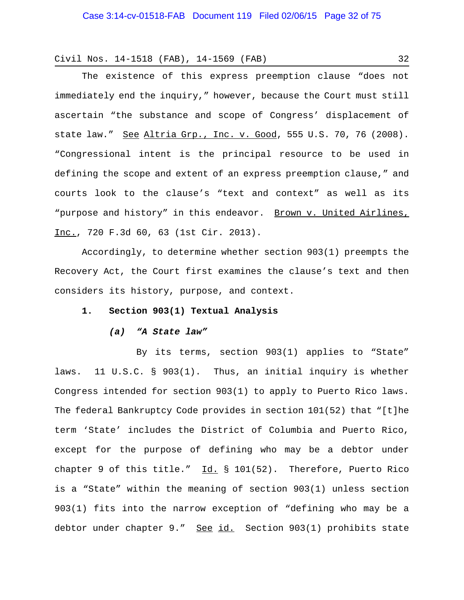The existence of this express preemption clause "does not immediately end the inquiry," however, because the Court must still ascertain "the substance and scope of Congress' displacement of state law." See Altria Grp., Inc. v. Good, 555 U.S. 70, 76 (2008). "Congressional intent is the principal resource to be used in defining the scope and extent of an express preemption clause," and courts look to the clause's "text and context" as well as its "purpose and history" in this endeavor. Brown v. United Airlines, Inc., 720 F.3d 60, 63 (1st Cir. 2013).

Accordingly, to determine whether section 903(1) preempts the Recovery Act, the Court first examines the clause's text and then considers its history, purpose, and context.

### **1. Section 903(1) Textual Analysis**

#### *(a) "A State law"*

By its terms, section 903(1) applies to "State" laws. 11 U.S.C. § 903(1). Thus, an initial inquiry is whether Congress intended for section 903(1) to apply to Puerto Rico laws. The federal Bankruptcy Code provides in section 101(52) that "[t]he term 'State' includes the District of Columbia and Puerto Rico, except for the purpose of defining who may be a debtor under chapter 9 of this title."  $\underline{Id.}$  § 101(52). Therefore, Puerto Rico is a "State" within the meaning of section 903(1) unless section 903(1) fits into the narrow exception of "defining who may be a debtor under chapter 9." See id. Section 903(1) prohibits state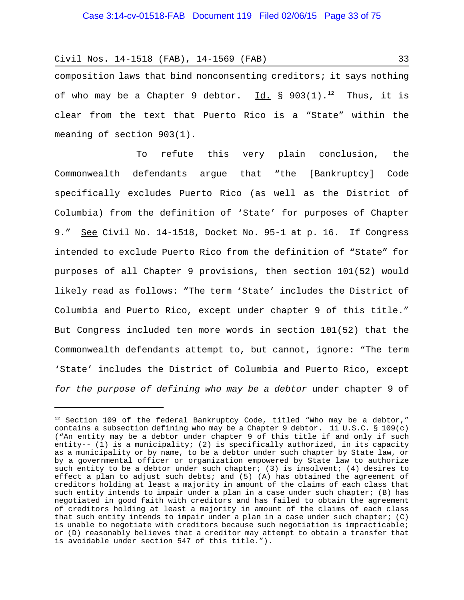composition laws that bind nonconsenting creditors; it says nothing of who may be a Chapter 9 debtor.  $\underline{Id.}$  § 903(1).<sup>12</sup> Thus, it is clear from the text that Puerto Rico is a "State" within the meaning of section 903(1).

To refute this very plain conclusion, the Commonwealth defendants argue that "the [Bankruptcy] Code specifically excludes Puerto Rico (as well as the District of Columbia) from the definition of 'State' for purposes of Chapter 9." See Civil No. 14-1518, Docket No. 95-1 at p. 16. If Congress intended to exclude Puerto Rico from the definition of "State" for purposes of all Chapter 9 provisions, then section 101(52) would likely read as follows: "The term 'State' includes the District of Columbia and Puerto Rico, except under chapter 9 of this title." But Congress included ten more words in section 101(52) that the Commonwealth defendants attempt to, but cannot, ignore: "The term 'State' includes the District of Columbia and Puerto Rico, except *for the purpose of defining who may be a debtor* under chapter 9 of

 $12$  Section 109 of the federal Bankruptcy Code, titled "Who may be a debtor," contains a subsection defining who may be a Chapter 9 debtor. 11 U.S.C. § 109(c) ("An entity may be a debtor under chapter 9 of this title if and only if such entity-- (1) is a municipality; (2) is specifically authorized, in its capacity as a municipality or by name, to be a debtor under such chapter by State law, or by a governmental officer or organization empowered by State law to authorize such entity to be a debtor under such chapter; (3) is insolvent; (4) desires to effect a plan to adjust such debts; and (5) (A) has obtained the agreement of creditors holding at least a majority in amount of the claims of each class that such entity intends to impair under a plan in a case under such chapter; (B) has negotiated in good faith with creditors and has failed to obtain the agreement of creditors holding at least a majority in amount of the claims of each class that such entity intends to impair under a plan in a case under such chapter; (C) is unable to negotiate with creditors because such negotiation is impracticable; or (D) reasonably believes that a creditor may attempt to obtain a transfer that is avoidable under section 547 of this title.").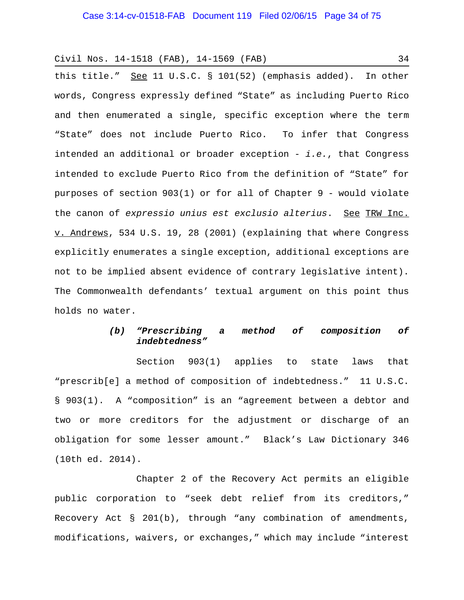this title." See 11 U.S.C. § 101(52) (emphasis added). In other words, Congress expressly defined "State" as including Puerto Rico and then enumerated a single, specific exception where the term "State" does not include Puerto Rico. To infer that Congress intended an additional or broader exception - *i.e.*, that Congress intended to exclude Puerto Rico from the definition of "State" for purposes of section 903(1) or for all of Chapter 9 - would violate the canon of *expressio unius est exclusio alterius*. See TRW Inc. v. Andrews, 534 U.S. 19, 28 (2001) (explaining that where Congress explicitly enumerates a single exception, additional exceptions are not to be implied absent evidence of contrary legislative intent). The Commonwealth defendants' textual argument on this point thus holds no water.

# *(b) "Prescribing a method of composition of indebtedness"*

Section 903(1) applies to state laws that "prescrib[e] a method of composition of indebtedness." 11 U.S.C. § 903(1). A "composition" is an "agreement between a debtor and two or more creditors for the adjustment or discharge of an obligation for some lesser amount." Black's Law Dictionary 346 (10th ed. 2014).

Chapter 2 of the Recovery Act permits an eligible public corporation to "seek debt relief from its creditors," Recovery Act § 201(b), through "any combination of amendments, modifications, waivers, or exchanges," which may include "interest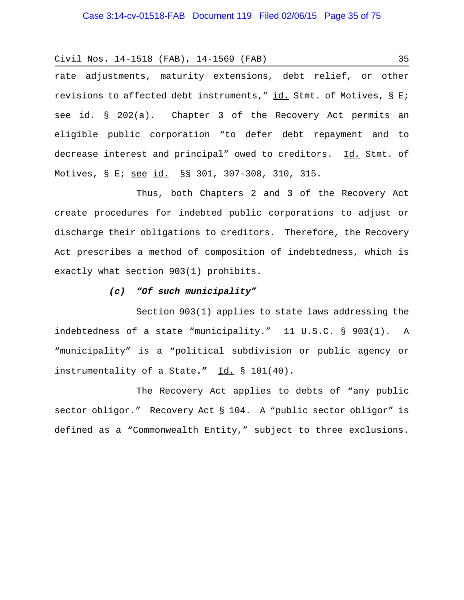## Case 3:14-cv-01518-FAB Document 119 Filed 02/06/15 Page 35 of 75

Civil Nos. 14-1518 (FAB), 14-1569 (FAB) 35

rate adjustments, maturity extensions, debt relief, or other revisions to affected debt instruments,"  $id.$  Stmt. of Motives, § E; see id. § 202(a). Chapter 3 of the Recovery Act permits an eligible public corporation "to defer debt repayment and to decrease interest and principal" owed to creditors. Id. Stmt. of Motives, § E; see id. §§ 301, 307-308, 310, 315.

Thus, both Chapters 2 and 3 of the Recovery Act create procedures for indebted public corporations to adjust or discharge their obligations to creditors. Therefore, the Recovery Act prescribes a method of composition of indebtedness, which is exactly what section 903(1) prohibits.

## *(c) "Of such municipality"*

Section 903(1) applies to state laws addressing the indebtedness of a state "municipality." 11 U.S.C. § 903(1). A "municipality" is a "political subdivision or public agency or instrumentality of a State**."** Id. § 101(40).

The Recovery Act applies to debts of "any public sector obligor." Recovery Act § 104. A "public sector obligor" is defined as a "Commonwealth Entity," subject to three exclusions.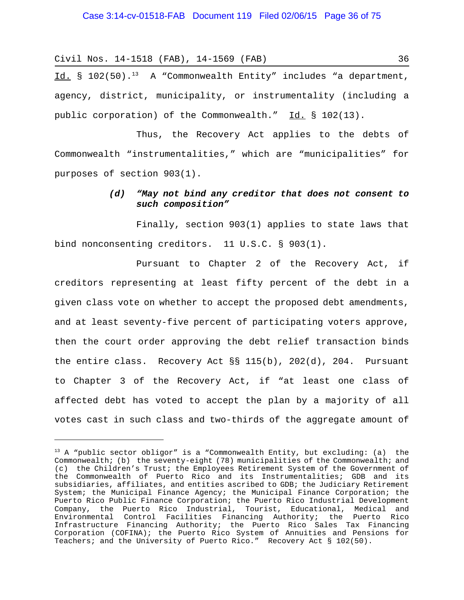Id.  $\S$  102(50).<sup>13</sup> A "Commonwealth Entity" includes "a department, agency, district, municipality, or instrumentality (including a public corporation) of the Commonwealth." Id. § 102(13).

Thus, the Recovery Act applies to the debts of Commonwealth "instrumentalities," which are "municipalities" for purposes of section 903(1).

## *(d) "May not bind any creditor that does not consent to such composition"*

Finally, section 903(1) applies to state laws that bind nonconsenting creditors. 11 U.S.C. § 903(1).

Pursuant to Chapter 2 of the Recovery Act, if creditors representing at least fifty percent of the debt in a given class vote on whether to accept the proposed debt amendments, and at least seventy-five percent of participating voters approve, then the court order approving the debt relief transaction binds the entire class. Recovery Act §§ 115(b), 202(d), 204. Pursuant to Chapter 3 of the Recovery Act, if "at least one class of affected debt has voted to accept the plan by a majority of all votes cast in such class and two-thirds of the aggregate amount of

 $13$  A "public sector obligor" is a "Commonwealth Entity, but excluding: (a) the Commonwealth; (b) the seventy-eight (78) municipalities of the Commonwealth; and (c) the Children's Trust; the Employees Retirement System of the Government of the Commonwealth of Puerto Rico and its Instrumentalities; GDB and its subsidiaries, affiliates, and entities ascribed to GDB; the Judiciary Retirement System; the Municipal Finance Agency; the Municipal Finance Corporation; the Puerto Rico Public Finance Corporation; the Puerto Rico Industrial Development Company, the Puerto Rico Industrial, Tourist, Educational, Medical and Environmental Control Facilities Financing Authority; the Puerto Rico Infrastructure Financing Authority; the Puerto Rico Sales Tax Financing Corporation (COFINA); the Puerto Rico System of Annuities and Pensions for Teachers; and the University of Puerto Rico." Recovery Act § 102(50).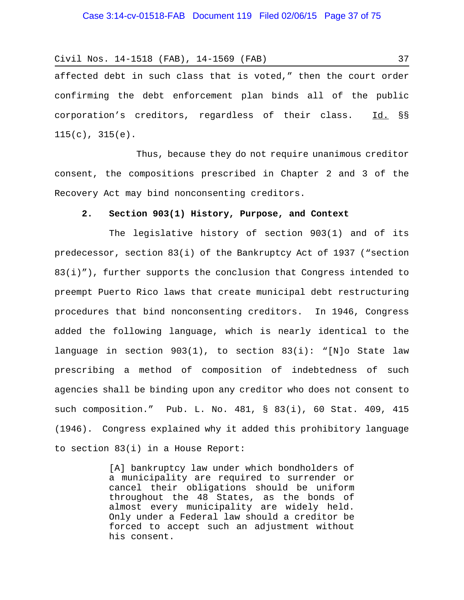affected debt in such class that is voted," then the court order confirming the debt enforcement plan binds all of the public corporation's creditors, regardless of their class. Id. §§  $115(c), 315(e).$ 

Thus, because they do not require unanimous creditor consent, the compositions prescribed in Chapter 2 and 3 of the Recovery Act may bind nonconsenting creditors.

## **2. Section 903(1) History, Purpose, and Context**

The legislative history of section 903(1) and of its predecessor, section 83(i) of the Bankruptcy Act of 1937 ("section 83(i)"), further supports the conclusion that Congress intended to preempt Puerto Rico laws that create municipal debt restructuring procedures that bind nonconsenting creditors. In 1946, Congress added the following language, which is nearly identical to the language in section 903(1), to section 83(i): "[N]o State law prescribing a method of composition of indebtedness of such agencies shall be binding upon any creditor who does not consent to such composition." Pub. L. No. 481, § 83(i), 60 Stat. 409, 415 (1946). Congress explained why it added this prohibitory language to section 83(i) in a House Report:

> [A] bankruptcy law under which bondholders of a municipality are required to surrender or cancel their obligations should be uniform throughout the 48 States, as the bonds of almost every municipality are widely held. Only under a Federal law should a creditor be forced to accept such an adjustment without his consent.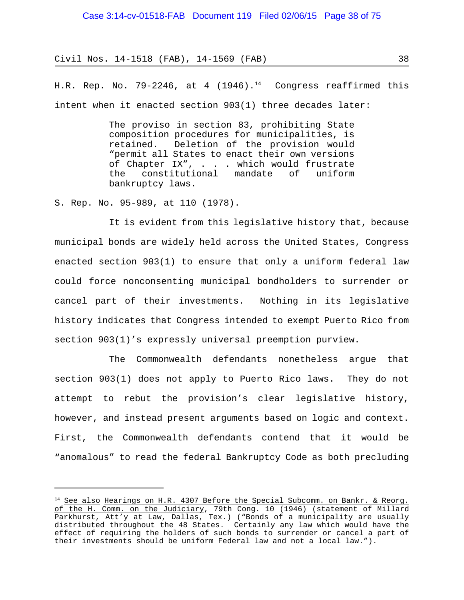H.R. Rep. No. 79-2246, at 4 (1946).<sup>14</sup> Congress reaffirmed this intent when it enacted section 903(1) three decades later:

> The proviso in section 83, prohibiting State composition procedures for municipalities, is retained. Deletion of the provision would "permit all States to enact their own versions of Chapter IX", . . . which would frustrate the constitutional mandate of uniform bankruptcy laws.

S. Rep. No. 95-989, at 110 (1978).

It is evident from this legislative history that, because municipal bonds are widely held across the United States, Congress enacted section 903(1) to ensure that only a uniform federal law could force nonconsenting municipal bondholders to surrender or cancel part of their investments. Nothing in its legislative history indicates that Congress intended to exempt Puerto Rico from section 903(1)'s expressly universal preemption purview.

The Commonwealth defendants nonetheless argue that section 903(1) does not apply to Puerto Rico laws. They do not attempt to rebut the provision's clear legislative history, however, and instead present arguments based on logic and context. First, the Commonwealth defendants contend that it would be "anomalous" to read the federal Bankruptcy Code as both precluding

<sup>&</sup>lt;sup>14</sup> See also Hearings on H.R. 4307 Before the Special Subcomm. on Bankr. & Reorg. of the H. Comm. on the Judiciary, 79th Cong. 10 (1946) (statement of Millard Parkhurst, Att'y at Law, Dallas, Tex.) ("Bonds of a municipality are usually distributed throughout the 48 States. Certainly any law which would have the effect of requiring the holders of such bonds to surrender or cancel a part of their investments should be uniform Federal law and not a local law.").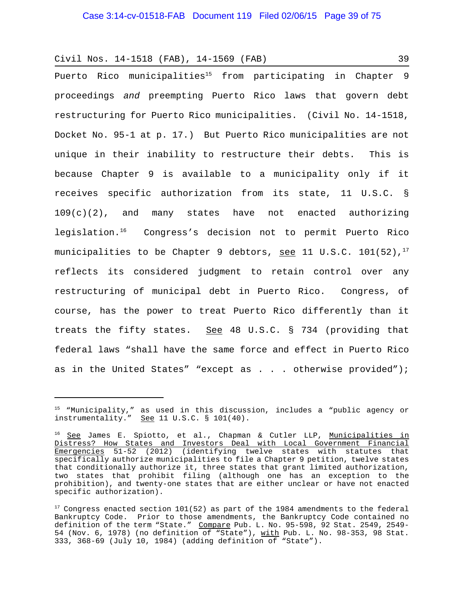Puerto Rico municipalities<sup>15</sup> from participating in Chapter 9 proceedings *and* preempting Puerto Rico laws that govern debt restructuring for Puerto Rico municipalities. (Civil No. 14-1518, Docket No. 95-1 at p. 17.) But Puerto Rico municipalities are not unique in their inability to restructure their debts. This is because Chapter 9 is available to a municipality only if it receives specific authorization from its state, 11 U.S.C. §  $109(c)(2)$ , and many states have not enacted authorizing legislation.16 Congress's decision not to permit Puerto Rico municipalities to be Chapter 9 debtors, see 11 U.S.C. 101(52),<sup>17</sup> reflects its considered judgment to retain control over any restructuring of municipal debt in Puerto Rico. Congress, of course, has the power to treat Puerto Rico differently than it treats the fifty states. See 48 U.S.C. § 734 (providing that federal laws "shall have the same force and effect in Puerto Rico as in the United States" "except as . . . otherwise provided");

 $^\text{\tiny{15}}$  "Municipality," as used in this discussion, includes a "public agency or instrumentality." See  $11 \text{ U.S.C. }$  \$  $101(40)$ .

<sup>&</sup>lt;sup>16</sup> See James E. Spiotto, et al., Chapman & Cutler LLP, Municipalities in Distress? How States and Investors Deal with Local Government Financial Emergencies 51-52 (2012) (identifying twelve states with statutes that specifically authorize municipalities to file a Chapter 9 petition, twelve states that conditionally authorize it, three states that grant limited authorization, two states that prohibit filing (although one has an exception to the prohibition), and twenty-one states that are either unclear or have not enacted specific authorization).

<sup>&</sup>lt;sup>17</sup> Congress enacted section 101(52) as part of the 1984 amendments to the federal Bankruptcy Code. Prior to those amendments, the Bankruptcy Code contained no definition of the term "State." Compare Pub. L. No. 95-598, 92 Stat. 2549, 2549-54 (Nov. 6, 1978) (no definition of "State"), with Pub. L. No. 98-353, 98 Stat. 333, 368-69 (July 10, 1984) (adding definition of "State").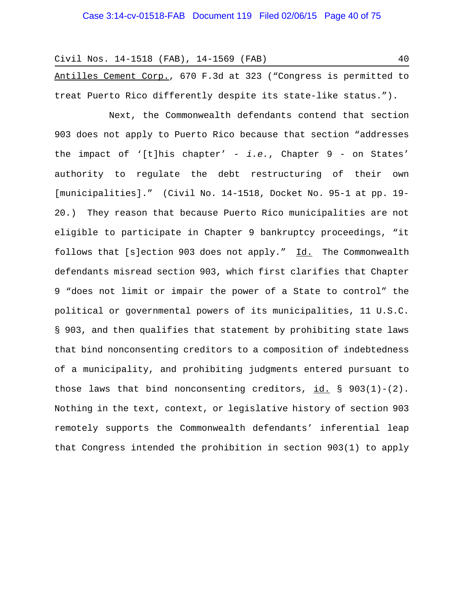Antilles Cement Corp., 670 F.3d at 323 ("Congress is permitted to treat Puerto Rico differently despite its state-like status.").

Next, the Commonwealth defendants contend that section 903 does not apply to Puerto Rico because that section "addresses the impact of '[t]his chapter' - *i.e.*, Chapter 9 - on States' authority to regulate the debt restructuring of their own [municipalities]." (Civil No. 14-1518, Docket No. 95-1 at pp. 19- 20.) They reason that because Puerto Rico municipalities are not eligible to participate in Chapter 9 bankruptcy proceedings, "it follows that [s]ection 903 does not apply." Id. The Commonwealth defendants misread section 903, which first clarifies that Chapter 9 "does not limit or impair the power of a State to control" the political or governmental powers of its municipalities, 11 U.S.C. § 903, and then qualifies that statement by prohibiting state laws that bind nonconsenting creditors to a composition of indebtedness of a municipality, and prohibiting judgments entered pursuant to those laws that bind nonconsenting creditors, id.  $\S$  903(1)-(2). Nothing in the text, context, or legislative history of section 903 remotely supports the Commonwealth defendants' inferential leap that Congress intended the prohibition in section 903(1) to apply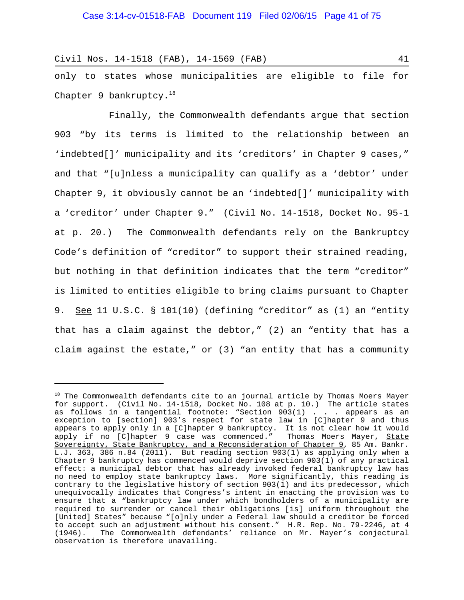only to states whose municipalities are eligible to file for Chapter 9 bankruptcy. $18$ 

Finally, the Commonwealth defendants argue that section 903 "by its terms is limited to the relationship between an 'indebted[]' municipality and its 'creditors' in Chapter 9 cases," and that "[u]nless a municipality can qualify as a 'debtor' under Chapter 9, it obviously cannot be an 'indebted[]' municipality with a 'creditor' under Chapter 9." (Civil No. 14-1518, Docket No. 95-1 at p. 20.) The Commonwealth defendants rely on the Bankruptcy Code's definition of "creditor" to support their strained reading, but nothing in that definition indicates that the term "creditor" is limited to entities eligible to bring claims pursuant to Chapter 9. <u>See</u> 11 U.S.C. § 101(10) (defining "creditor" as (1) an "entity that has a claim against the debtor," (2) an "entity that has a claim against the estate," or (3) "an entity that has a community

<sup>18</sup> The Commonwealth defendants cite to an journal article by Thomas Moers Mayer for support. (Civil No. 14-1518, Docket No. 108 at p. 10.) The article states as follows in a tangential footnote: "Section 903(1) . . . appears as an exception to [section] 903's respect for state law in [C]hapter 9 and thus appears to apply only in a [C]hapter 9 bankruptcy. It is not clear how it would apply if no [C]hapter 9 case was commenced." Thomas Moers Mayer, <u>State</u> Sovereignty, State Bankruptcy, and a Reconsideration of Chapter 9, 85 Am. Bankr. L.J. 363, 386 n.84 (2011). But reading section 903(1) as applying only when a Chapter 9 bankruptcy has commenced would deprive section 903(1) of any practical effect: a municipal debtor that has already invoked federal bankruptcy law has no need to employ state bankruptcy laws. More significantly, this reading is contrary to the legislative history of section 903(1) and its predecessor, which unequivocally indicates that Congress's intent in enacting the provision was to ensure that a "bankruptcy law under which bondholders of a municipality are required to surrender or cancel their obligations [is] uniform throughout the [United] States" because "[o]nly under a Federal law should a creditor be forced to accept such an adjustment without his consent." H.R. Rep. No. 79-2246, at 4 (1946). The Commonwealth defendants' reliance on Mr. Mayer's conjectural observation is therefore unavailing.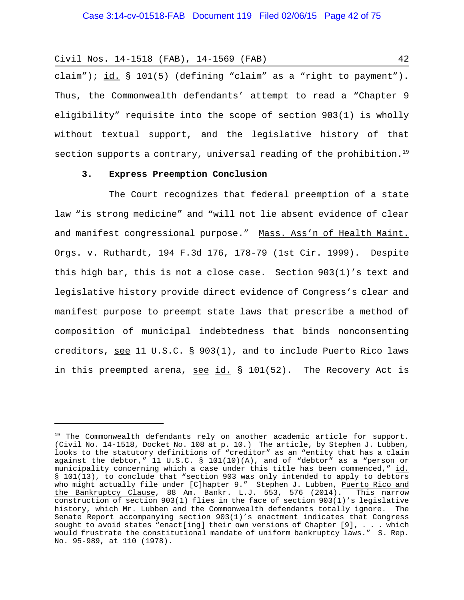claim"); id.  $\S$  101(5) (defining "claim" as a "right to payment"). Thus, the Commonwealth defendants' attempt to read a "Chapter 9 eligibility" requisite into the scope of section 903(1) is wholly without textual support, and the legislative history of that section supports a contrary, universal reading of the prohibition.<sup>19</sup>

#### **3. Express Preemption Conclusion**

The Court recognizes that federal preemption of a state law "is strong medicine" and "will not lie absent evidence of clear and manifest congressional purpose." Mass. Ass'n of Health Maint. Orgs. v. Ruthardt, 194 F.3d 176, 178-79 (1st Cir. 1999). Despite this high bar, this is not a close case. Section 903(1)'s text and legislative history provide direct evidence of Congress's clear and manifest purpose to preempt state laws that prescribe a method of composition of municipal indebtedness that binds nonconsenting creditors, see 11 U.S.C. § 903(1), and to include Puerto Rico laws in this preempted arena, see id. § 101(52). The Recovery Act is

<sup>&</sup>lt;sup>19</sup> The Commonwealth defendants rely on another academic article for support. (Civil No. 14-1518, Docket No. 108 at p. 10.) The article, by Stephen J. Lubben, looks to the statutory definitions of "creditor" as an "entity that has a claim against the debtor," 11 U.S.C. § 101(10)(A), and of "debtor" as a "person or municipality concerning which a case under this title has been commenced," id. § 101(13), to conclude that "section 903 was only intended to apply to debtors who might actually file under [C]hapter 9." Stephen J. Lubben, Puerto Rico and the Bankruptcy Clause, 88 Am. Bankr. L.J. 553, 576 (2014). This narrow construction of section 903(1) flies in the face of section 903(1)'s legislative history, which Mr. Lubben and the Commonwealth defendants totally ignore. The Senate Report accompanying section 903(1)'s enactment indicates that Congress sought to avoid states "enact[ing] their own versions of Chapter [9], . . . which would frustrate the constitutional mandate of uniform bankruptcy laws." S. Rep. No. 95-989, at 110 (1978).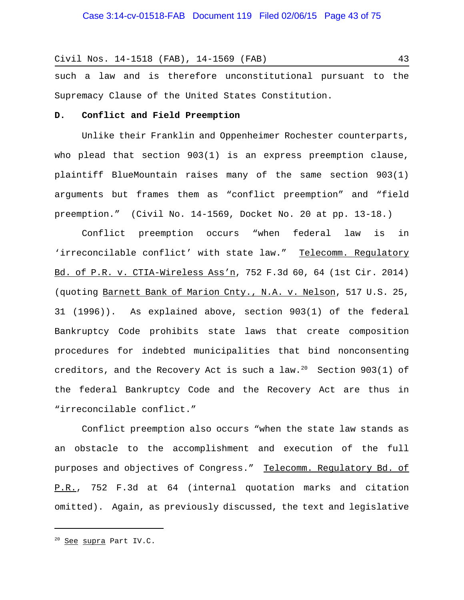such a law and is therefore unconstitutional pursuant to the Supremacy Clause of the United States Constitution.

#### **D. Conflict and Field Preemption**

Unlike their Franklin and Oppenheimer Rochester counterparts, who plead that section 903(1) is an express preemption clause, plaintiff BlueMountain raises many of the same section 903(1) arguments but frames them as "conflict preemption" and "field preemption." (Civil No. 14-1569, Docket No. 20 at pp. 13-18.)

Conflict preemption occurs "when federal law is in 'irreconcilable conflict' with state law." Telecomm. Regulatory Bd. of P.R. v. CTIA-Wireless Ass'n, 752 F.3d 60, 64 (1st Cir. 2014) (quoting Barnett Bank of Marion Cnty., N.A. v. Nelson, 517 U.S. 25, 31 (1996)). As explained above, section 903(1) of the federal Bankruptcy Code prohibits state laws that create composition procedures for indebted municipalities that bind nonconsenting creditors, and the Recovery Act is such a law.<sup>20</sup> Section 903(1) of the federal Bankruptcy Code and the Recovery Act are thus in "irreconcilable conflict."

Conflict preemption also occurs "when the state law stands as an obstacle to the accomplishment and execution of the full purposes and objectives of Congress." Telecomm. Requlatory Bd. of P.R., 752 F.3d at 64 (internal quotation marks and citation omitted). Again, as previously discussed, the text and legislative

<sup>&</sup>lt;sup>20</sup> See supra Part IV.C.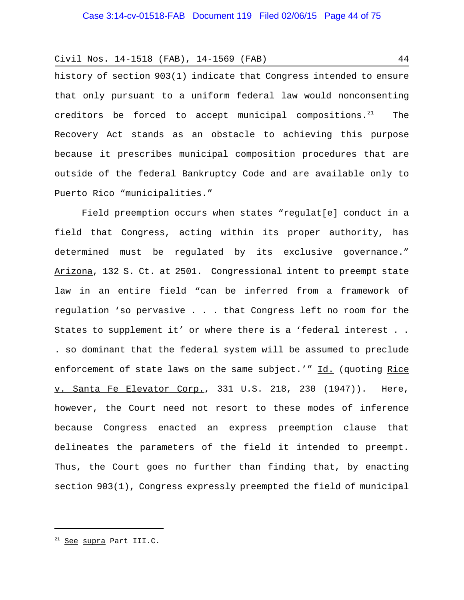history of section 903(1) indicate that Congress intended to ensure that only pursuant to a uniform federal law would nonconsenting creditors be forced to accept municipal compositions. $21$  The Recovery Act stands as an obstacle to achieving this purpose because it prescribes municipal composition procedures that are outside of the federal Bankruptcy Code and are available only to Puerto Rico "municipalities."

Field preemption occurs when states "regulat[e] conduct in a field that Congress, acting within its proper authority, has determined must be regulated by its exclusive governance." Arizona, 132 S. Ct. at 2501. Congressional intent to preempt state law in an entire field "can be inferred from a framework of regulation 'so pervasive . . . that Congress left no room for the States to supplement it' or where there is a 'federal interest . . . so dominant that the federal system will be assumed to preclude enforcement of state laws on the same subject.'" Id. (quoting Rice v. Santa Fe Elevator Corp., 331 U.S. 218, 230 (1947)). Here, however, the Court need not resort to these modes of inference because Congress enacted an express preemption clause that delineates the parameters of the field it intended to preempt. Thus, the Court goes no further than finding that, by enacting section 903(1), Congress expressly preempted the field of municipal

<sup>21</sup> See supra Part III.C.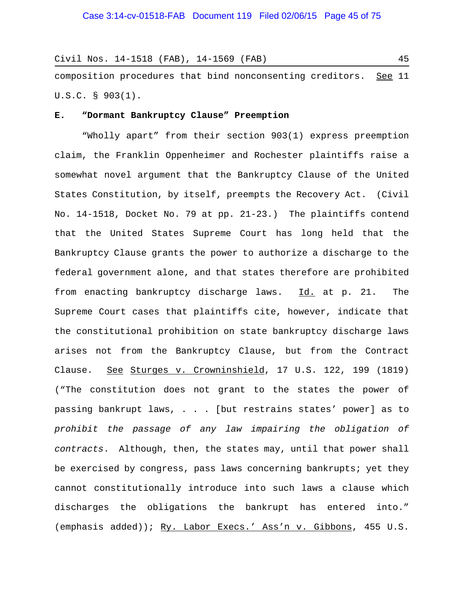|  | Civil Nos. 14-1518 (FAB), 14-1569 (FAB) |  |  |  |
|--|-----------------------------------------|--|--|--|
|  |                                         |  |  |  |

composition procedures that bind nonconsenting creditors. See 11 U.S.C. § 903(1).

#### **E. "Dormant Bankruptcy Clause" Preemption**

"Wholly apart" from their section 903(1) express preemption claim, the Franklin Oppenheimer and Rochester plaintiffs raise a somewhat novel argument that the Bankruptcy Clause of the United States Constitution, by itself, preempts the Recovery Act. (Civil No. 14-1518, Docket No. 79 at pp. 21-23.) The plaintiffs contend that the United States Supreme Court has long held that the Bankruptcy Clause grants the power to authorize a discharge to the federal government alone, and that states therefore are prohibited from enacting bankruptcy discharge laws. Id. at p. 21. The Supreme Court cases that plaintiffs cite, however, indicate that the constitutional prohibition on state bankruptcy discharge laws arises not from the Bankruptcy Clause, but from the Contract Clause. See Sturges v. Crowninshield, 17 U.S. 122, 199 (1819) ("The constitution does not grant to the states the power of passing bankrupt laws, . . . [but restrains states' power] as to *prohibit the passage of any law impairing the obligation of contracts*. Although, then, the states may, until that power shall be exercised by congress, pass laws concerning bankrupts; yet they cannot constitutionally introduce into such laws a clause which discharges the obligations the bankrupt has entered into." (emphasis added)); Ry. Labor Execs.' Ass'n v. Gibbons, 455 U.S.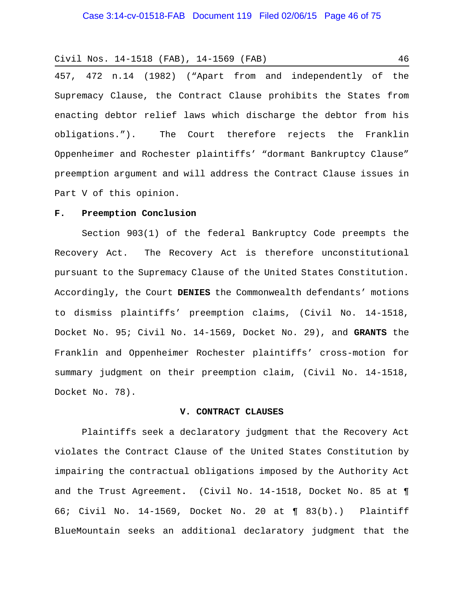457, 472 n.14 (1982) ("Apart from and independently of the Supremacy Clause, the Contract Clause prohibits the States from enacting debtor relief laws which discharge the debtor from his obligations."). The Court therefore rejects the Franklin Oppenheimer and Rochester plaintiffs' "dormant Bankruptcy Clause" preemption argument and will address the Contract Clause issues in Part V of this opinion.

## **F. Preemption Conclusion**

Section 903(1) of the federal Bankruptcy Code preempts the Recovery Act. The Recovery Act is therefore unconstitutional pursuant to the Supremacy Clause of the United States Constitution. Accordingly, the Court **DENIES** the Commonwealth defendants' motions to dismiss plaintiffs' preemption claims, (Civil No. 14-1518, Docket No. 95; Civil No. 14-1569, Docket No. 29), and **GRANTS** the Franklin and Oppenheimer Rochester plaintiffs' cross-motion for summary judgment on their preemption claim, (Civil No. 14-1518, Docket No. 78).

## **V. CONTRACT CLAUSES**

Plaintiffs seek a declaratory judgment that the Recovery Act violates the Contract Clause of the United States Constitution by impairing the contractual obligations imposed by the Authority Act and the Trust Agreement**.** (Civil No. 14-1518, Docket No. 85 at ¶ 66; Civil No. 14-1569, Docket No. 20 at ¶ 83(b).) Plaintiff BlueMountain seeks an additional declaratory judgment that the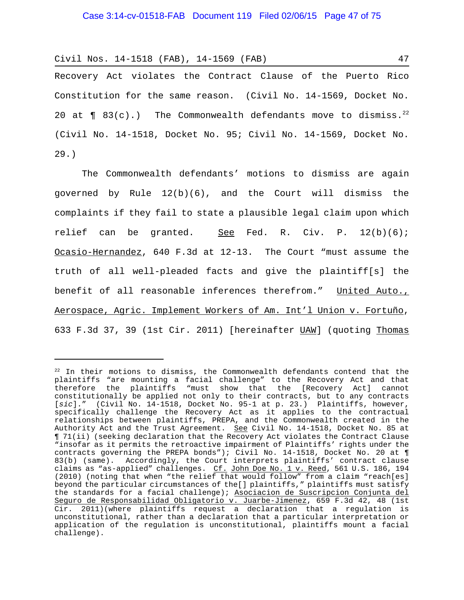Recovery Act violates the Contract Clause of the Puerto Rico Constitution for the same reason. (Civil No. 14-1569, Docket No. 20 at  $\P$  83(c).) The Commonwealth defendants move to dismiss.<sup>22</sup> (Civil No. 14-1518, Docket No. 95; Civil No. 14-1569, Docket No. 29.)

The Commonwealth defendants' motions to dismiss are again governed by Rule 12(b)(6), and the Court will dismiss the complaints if they fail to state a plausible legal claim upon which relief can be granted. See Fed. R. Civ. P.  $12(b)(6)$ ; Ocasio-Hernandez, 640 F.3d at 12-13. The Court "must assume the truth of all well-pleaded facts and give the plaintiff[s] the benefit of all reasonable inferences therefrom." United Auto., Aerospace, Agric. Implement Workers of Am. Int'l Union v. Fortuño, 633 F.3d 37, 39 (1st Cir. 2011) [hereinafter UAW] (quoting Thomas

 $22$  In their motions to dismiss, the Commonwealth defendants contend that the plaintiffs "are mounting a facial challenge" to the Recovery Act and that therefore the plaintiffs "must show that the [Recovery Act] cannot constitutionally be applied not only to their contracts, but to any contracts [*sic*]." (Civil No. 14-1518, Docket No. 95-1 at p. 23.) Plaintiffs, however, specifically challenge the Recovery Act as it applies to the contractual relationships between plaintiffs, PREPA, and the Commonwealth created in the Authority Act and the Trust Agreement. See Civil No. 14-1518, Docket No. 85 at ¶ 71(ii) (seeking declaration that the Recovery Act violates the Contract Clause "insofar as it permits the retroactive impairment of Plaintiffs' rights under the contracts governing the PREPA bonds"); Civil No. 14-1518, Docket No. 20 at ¶ 83(b) (same). Accordingly, the Court interprets plaintiffs' contract clause claims as "as-applied" challenges. Cf. John Doe No. 1 v. Reed, 561 U.S. 186, 194 (2010) (noting that when "the relief that would follow" from a claim "reach[es] beyond the particular circumstances of the[] plaintiffs," plaintiffs must satisfy the standards for a facial challenge); Asociacion de Suscripcion Conjunta del Seguro de Responsabilidad Obligatorio v. Juarbe-Jimenez, 659 F.3d 42, 48 (1st Cir. 2011)(where plaintiffs request a declaration that a regulation is unconstitutional, rather than a declaration that a particular interpretation or application of the regulation is unconstitutional, plaintiffs mount a facial challenge).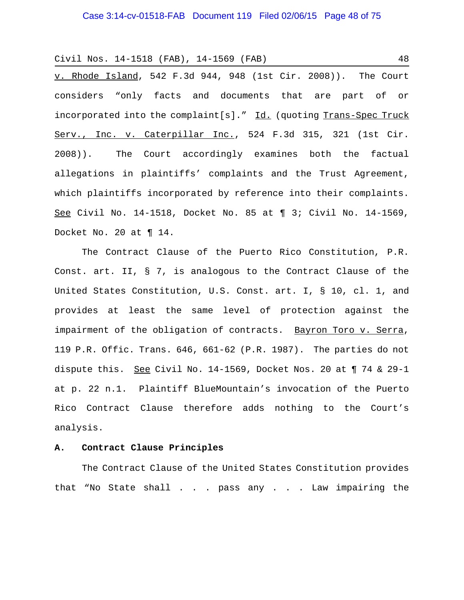v. Rhode Island, 542 F.3d 944, 948 (1st Cir. 2008)). The Court considers "only facts and documents that are part of or incorporated into the complaint[s]." Id. (quoting Trans-Spec Truck Serv., Inc. v. Caterpillar Inc., 524 F.3d 315, 321 (1st Cir. 2008)). The Court accordingly examines both the factual allegations in plaintiffs' complaints and the Trust Agreement, which plaintiffs incorporated by reference into their complaints. See Civil No. 14-1518, Docket No. 85 at ¶ 3; Civil No. 14-1569, Docket No. 20 at ¶ 14.

The Contract Clause of the Puerto Rico Constitution, P.R. Const. art. II, § 7, is analogous to the Contract Clause of the United States Constitution, U.S. Const. art. I, § 10, cl. 1, and provides at least the same level of protection against the impairment of the obligation of contracts. Bayron Toro v. Serra, 119 P.R. Offic. Trans. 646, 661-62 (P.R. 1987). The parties do not dispute this. See Civil No. 14-1569, Docket Nos. 20 at 174 & 29-1 at p. 22 n.1. Plaintiff BlueMountain's invocation of the Puerto Rico Contract Clause therefore adds nothing to the Court's analysis.

#### **A. Contract Clause Principles**

The Contract Clause of the United States Constitution provides that "No State shall . . . pass any . . . Law impairing the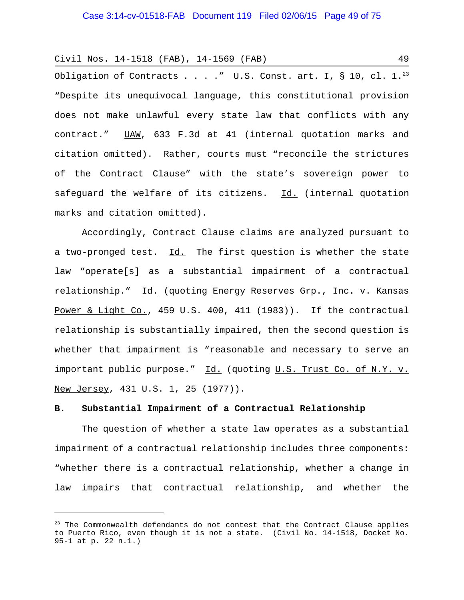Obligation of Contracts . . . . " U.S. Const. art. I, § 10, cl.  $1.^{23}$ "Despite its unequivocal language, this constitutional provision does not make unlawful every state law that conflicts with any contract." UAW, 633 F.3d at 41 (internal quotation marks and citation omitted). Rather, courts must "reconcile the strictures of the Contract Clause" with the state's sovereign power to safeguard the welfare of its citizens. Id. (internal quotation marks and citation omitted).

Accordingly, Contract Clause claims are analyzed pursuant to a two-pronged test. Id. The first question is whether the state law "operate[s] as a substantial impairment of a contractual relationship." Id. (quoting Energy Reserves Grp., Inc. v. Kansas Power & Light Co., 459 U.S. 400, 411 (1983)). If the contractual relationship is substantially impaired, then the second question is whether that impairment is "reasonable and necessary to serve an important public purpose." Id. (quoting U.S. Trust Co. of N.Y. v. New Jersey, 431 U.S. 1, 25 (1977)).

## **B. Substantial Impairment of a Contractual Relationship**

The question of whether a state law operates as a substantial impairment of a contractual relationship includes three components: "whether there is a contractual relationship, whether a change in law impairs that contractual relationship, and whether the

 $23$  The Commonwealth defendants do not contest that the Contract Clause applies to Puerto Rico, even though it is not a state. (Civil No. 14-1518, Docket No. 95-1 at p. 22 n.1.)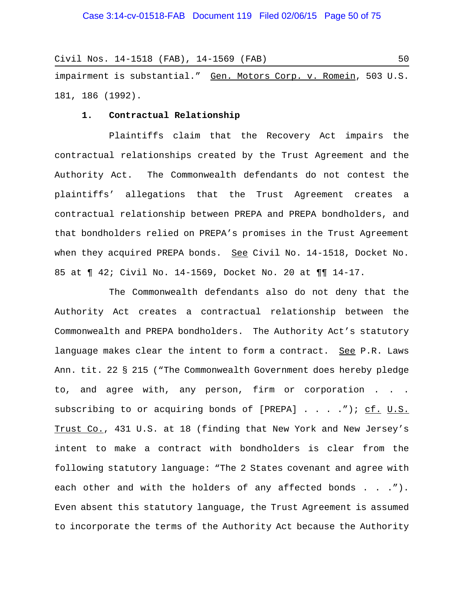Civil Nos. 14-1518 (FAB), 14-1569 (FAB) 50 impairment is substantial." Gen. Motors Corp. v. Romein, 503 U.S. 181, 186 (1992).

#### **1. Contractual Relationship**

Plaintiffs claim that the Recovery Act impairs the contractual relationships created by the Trust Agreement and the Authority Act. The Commonwealth defendants do not contest the plaintiffs' allegations that the Trust Agreement creates a contractual relationship between PREPA and PREPA bondholders, and that bondholders relied on PREPA's promises in the Trust Agreement when they acquired PREPA bonds. See Civil No. 14-1518, Docket No. 85 at ¶ 42; Civil No. 14-1569, Docket No. 20 at ¶¶ 14-17.

The Commonwealth defendants also do not deny that the Authority Act creates a contractual relationship between the Commonwealth and PREPA bondholders. The Authority Act's statutory language makes clear the intent to form a contract. See P.R. Laws Ann. tit. 22 § 215 ("The Commonwealth Government does hereby pledge to, and agree with, any person, firm or corporation . . . subscribing to or acquiring bonds of  $[PREPA]$  . . . . ."); cf. U.S. Trust Co., 431 U.S. at 18 (finding that New York and New Jersey's intent to make a contract with bondholders is clear from the following statutory language: "The 2 States covenant and agree with each other and with the holders of any affected bonds . . ."). Even absent this statutory language, the Trust Agreement is assumed to incorporate the terms of the Authority Act because the Authority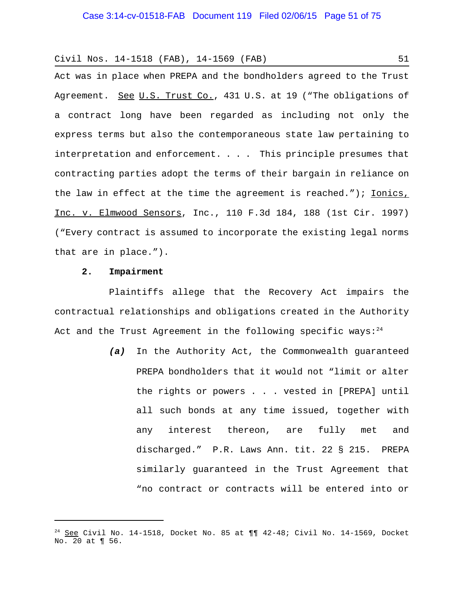Act was in place when PREPA and the bondholders agreed to the Trust Agreement. See U.S. Trust Co., 431 U.S. at 19 ("The obligations of a contract long have been regarded as including not only the express terms but also the contemporaneous state law pertaining to interpretation and enforcement. . . . This principle presumes that contracting parties adopt the terms of their bargain in reliance on the law in effect at the time the agreement is reached."); Ionics, Inc. v. Elmwood Sensors, Inc., 110 F.3d 184, 188 (1st Cir. 1997) ("Every contract is assumed to incorporate the existing legal norms that are in place.").

## **2. Impairment**

Plaintiffs allege that the Recovery Act impairs the contractual relationships and obligations created in the Authority Act and the Trust Agreement in the following specific ways: $24$ 

> *(a)* In the Authority Act, the Commonwealth guaranteed PREPA bondholders that it would not "limit or alter the rights or powers . . . vested in [PREPA] until all such bonds at any time issued, together with any interest thereon, are fully met and discharged." P.R. Laws Ann. tit. 22 § 215. PREPA similarly guaranteed in the Trust Agreement that "no contract or contracts will be entered into or

 $24$  See Civil No. 14-1518, Docket No. 85 at  $\P\P$  42-48; Civil No. 14-1569, Docket No. 20 at ¶ 56.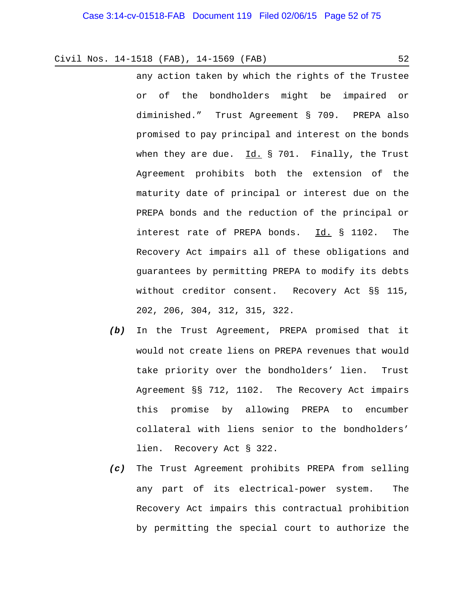- any action taken by which the rights of the Trustee or of the bondholders might be impaired or diminished." Trust Agreement § 709. PREPA also promised to pay principal and interest on the bonds when they are due. Id. § 701. Finally, the Trust Agreement prohibits both the extension of the maturity date of principal or interest due on the PREPA bonds and the reduction of the principal or interest rate of PREPA bonds. Id. § 1102. The Recovery Act impairs all of these obligations and guarantees by permitting PREPA to modify its debts without creditor consent. Recovery Act §§ 115, 202, 206, 304, 312, 315, 322.
- *(b)* In the Trust Agreement, PREPA promised that it would not create liens on PREPA revenues that would take priority over the bondholders' lien. Trust Agreement §§ 712, 1102. The Recovery Act impairs this promise by allowing PREPA to encumber collateral with liens senior to the bondholders' lien. Recovery Act § 322.
- *(c)* The Trust Agreement prohibits PREPA from selling any part of its electrical-power system. The Recovery Act impairs this contractual prohibition by permitting the special court to authorize the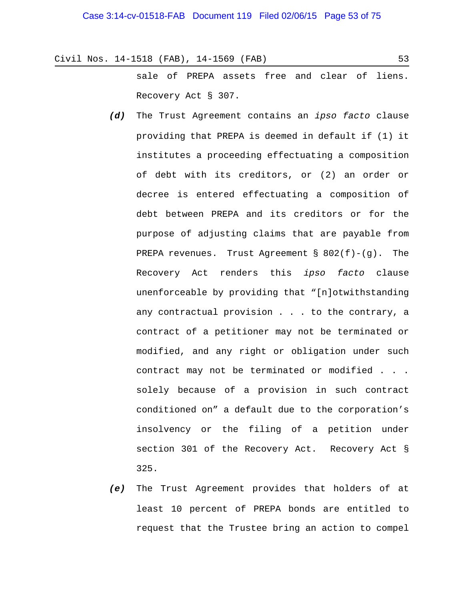sale of PREPA assets free and clear of liens. Recovery Act § 307.

- *(d)* The Trust Agreement contains an *ipso facto* clause providing that PREPA is deemed in default if (1) it institutes a proceeding effectuating a composition of debt with its creditors, or (2) an order or decree is entered effectuating a composition of debt between PREPA and its creditors or for the purpose of adjusting claims that are payable from PREPA revenues. Trust Agreement § 802(f)-(g). The Recovery Act renders this *ipso facto* clause unenforceable by providing that "[n]otwithstanding any contractual provision . . . to the contrary, a contract of a petitioner may not be terminated or modified, and any right or obligation under such contract may not be terminated or modified . . . solely because of a provision in such contract conditioned on" a default due to the corporation's insolvency or the filing of a petition under section 301 of the Recovery Act. Recovery Act § 325.
- *(e)* The Trust Agreement provides that holders of at least 10 percent of PREPA bonds are entitled to request that the Trustee bring an action to compel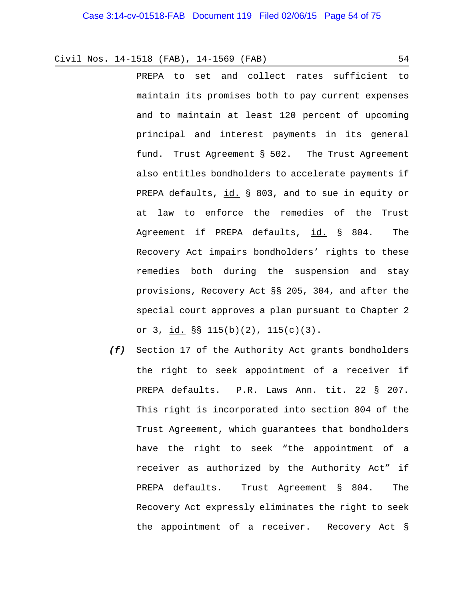PREPA to set and collect rates sufficient to maintain its promises both to pay current expenses and to maintain at least 120 percent of upcoming principal and interest payments in its general fund. Trust Agreement § 502. The Trust Agreement also entitles bondholders to accelerate payments if PREPA defaults, id. § 803, and to sue in equity or at law to enforce the remedies of the Trust Agreement if PREPA defaults, id. § 804. The Recovery Act impairs bondholders' rights to these remedies both during the suspension and stay provisions, Recovery Act §§ 205, 304, and after the special court approves a plan pursuant to Chapter 2 or 3,  $id.$   $S\$   $115(b)(2)$ ,  $115(c)(3)$ .

*(f)* Section 17 of the Authority Act grants bondholders the right to seek appointment of a receiver if PREPA defaults. P.R. Laws Ann. tit. 22 § 207. This right is incorporated into section 804 of the Trust Agreement, which guarantees that bondholders have the right to seek "the appointment of a receiver as authorized by the Authority Act" if PREPA defaults. Trust Agreement § 804. The Recovery Act expressly eliminates the right to seek the appointment of a receiver. Recovery Act §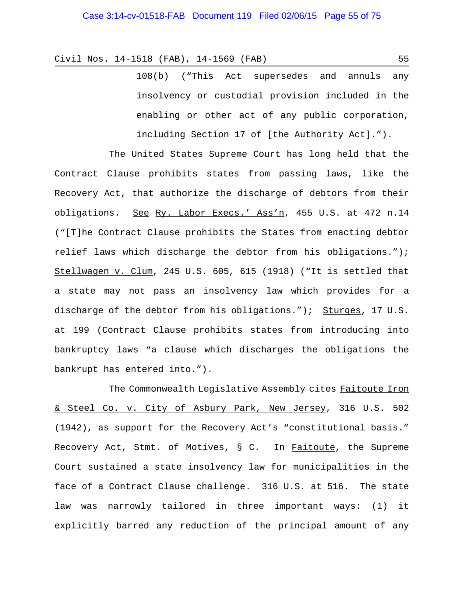108(b) ("This Act supersedes and annuls any insolvency or custodial provision included in the enabling or other act of any public corporation, including Section 17 of [the Authority Act].").

The United States Supreme Court has long held that the Contract Clause prohibits states from passing laws, like the Recovery Act, that authorize the discharge of debtors from their obligations. See Ry. Labor Execs.' Ass'n, 455 U.S. at 472 n.14 ("[T]he Contract Clause prohibits the States from enacting debtor relief laws which discharge the debtor from his obligations."); Stellwagen v. Clum, 245 U.S. 605, 615 (1918) ("It is settled that a state may not pass an insolvency law which provides for a discharge of the debtor from his obligations."); Sturges, 17 U.S. at 199 (Contract Clause prohibits states from introducing into bankruptcy laws "a clause which discharges the obligations the bankrupt has entered into.").

The Commonwealth Legislative Assembly cites Faitoute Iron & Steel Co. v. City of Asbury Park, New Jersey, 316 U.S. 502 (1942), as support for the Recovery Act's "constitutional basis." Recovery Act, Stmt. of Motives, § C. In Faitoute, the Supreme Court sustained a state insolvency law for municipalities in the face of a Contract Clause challenge. 316 U.S. at 516. The state law was narrowly tailored in three important ways: (1) it explicitly barred any reduction of the principal amount of any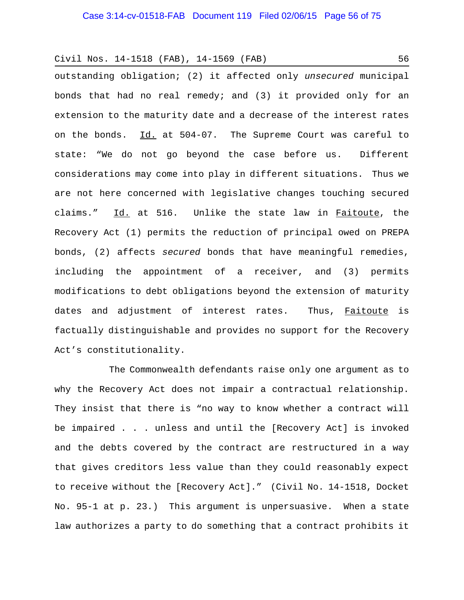outstanding obligation; (2) it affected only *unsecured* municipal bonds that had no real remedy; and (3) it provided only for an extension to the maturity date and a decrease of the interest rates on the bonds. Id. at 504-07. The Supreme Court was careful to state: "We do not go beyond the case before us. Different considerations may come into play in different situations. Thus we are not here concerned with legislative changes touching secured claims." Id. at 516. Unlike the state law in Faitoute, the Recovery Act (1) permits the reduction of principal owed on PREPA bonds, (2) affects *secured* bonds that have meaningful remedies, including the appointment of a receiver, and (3) permits modifications to debt obligations beyond the extension of maturity dates and adjustment of interest rates. Thus, Faitoute is factually distinguishable and provides no support for the Recovery Act's constitutionality.

The Commonwealth defendants raise only one argument as to why the Recovery Act does not impair a contractual relationship. They insist that there is "no way to know whether a contract will be impaired . . . unless and until the [Recovery Act] is invoked and the debts covered by the contract are restructured in a way that gives creditors less value than they could reasonably expect to receive without the [Recovery Act]." (Civil No. 14-1518, Docket No. 95-1 at p. 23.) This argument is unpersuasive. When a state law authorizes a party to do something that a contract prohibits it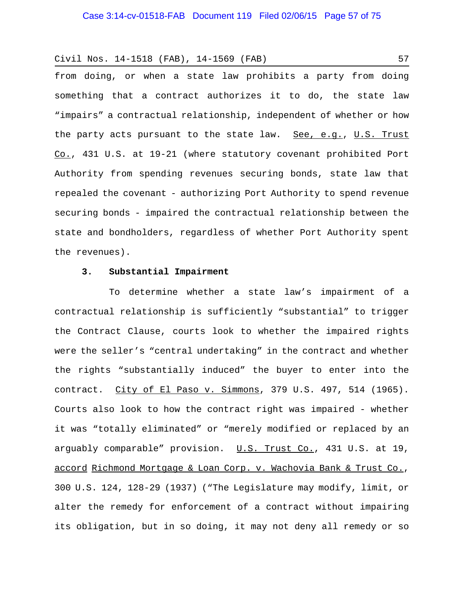from doing, or when a state law prohibits a party from doing something that a contract authorizes it to do, the state law "impairs" a contractual relationship, independent of whether or how the party acts pursuant to the state law. See, e.g., U.S. Trust Co., 431 U.S. at 19-21 (where statutory covenant prohibited Port Authority from spending revenues securing bonds, state law that repealed the covenant - authorizing Port Authority to spend revenue securing bonds - impaired the contractual relationship between the state and bondholders, regardless of whether Port Authority spent the revenues).

## **3. Substantial Impairment**

To determine whether a state law's impairment of a contractual relationship is sufficiently "substantial" to trigger the Contract Clause, courts look to whether the impaired rights were the seller's "central undertaking" in the contract and whether the rights "substantially induced" the buyer to enter into the contract. City of El Paso v. Simmons, 379 U.S. 497, 514 (1965). Courts also look to how the contract right was impaired - whether it was "totally eliminated" or "merely modified or replaced by an arguably comparable" provision. U.S. Trust Co., 431 U.S. at 19, accord Richmond Mortgage & Loan Corp. v. Wachovia Bank & Trust Co., 300 U.S. 124, 128-29 (1937) ("The Legislature may modify, limit, or alter the remedy for enforcement of a contract without impairing its obligation, but in so doing, it may not deny all remedy or so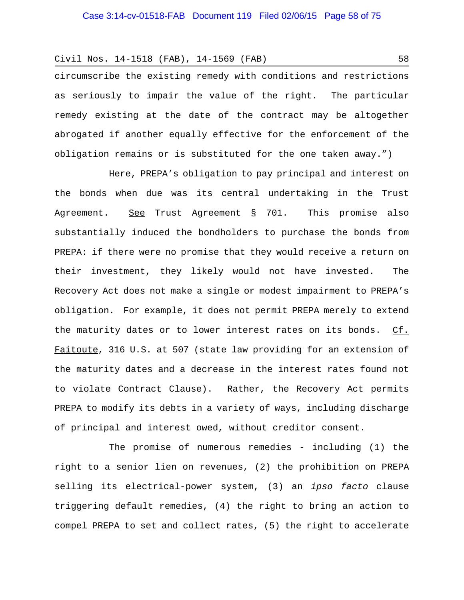circumscribe the existing remedy with conditions and restrictions as seriously to impair the value of the right. The particular remedy existing at the date of the contract may be altogether abrogated if another equally effective for the enforcement of the obligation remains or is substituted for the one taken away.")

Here, PREPA's obligation to pay principal and interest on the bonds when due was its central undertaking in the Trust Agreement. See Trust Agreement § 701. This promise also substantially induced the bondholders to purchase the bonds from PREPA: if there were no promise that they would receive a return on their investment, they likely would not have invested. The Recovery Act does not make a single or modest impairment to PREPA's obligation. For example, it does not permit PREPA merely to extend the maturity dates or to lower interest rates on its bonds. Cf. Faitoute, 316 U.S. at 507 (state law providing for an extension of the maturity dates and a decrease in the interest rates found not to violate Contract Clause). Rather, the Recovery Act permits PREPA to modify its debts in a variety of ways, including discharge of principal and interest owed, without creditor consent.

The promise of numerous remedies - including (1) the right to a senior lien on revenues, (2) the prohibition on PREPA selling its electrical-power system, (3) an *ipso facto* clause triggering default remedies, (4) the right to bring an action to compel PREPA to set and collect rates, (5) the right to accelerate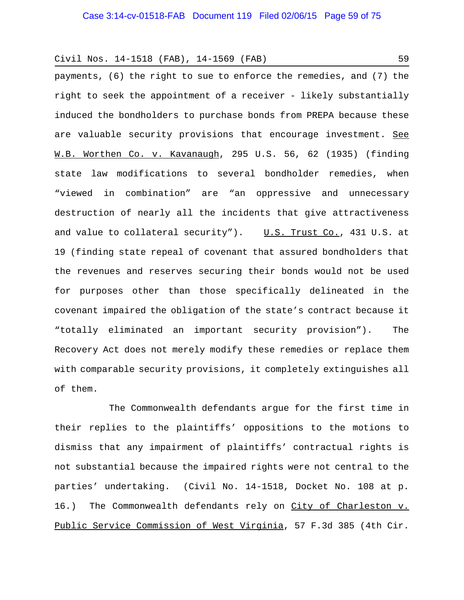payments, (6) the right to sue to enforce the remedies, and (7) the right to seek the appointment of a receiver - likely substantially induced the bondholders to purchase bonds from PREPA because these are valuable security provisions that encourage investment. See W.B. Worthen Co. v. Kavanaugh, 295 U.S. 56, 62 (1935) (finding state law modifications to several bondholder remedies, when "viewed in combination" are "an oppressive and unnecessary destruction of nearly all the incidents that give attractiveness and value to collateral security").  $U.S.$  Trust Co., 431 U.S. at 19 (finding state repeal of covenant that assured bondholders that the revenues and reserves securing their bonds would not be used for purposes other than those specifically delineated in the covenant impaired the obligation of the state's contract because it "totally eliminated an important security provision"). The Recovery Act does not merely modify these remedies or replace them with comparable security provisions, it completely extinguishes all of them.

The Commonwealth defendants argue for the first time in their replies to the plaintiffs' oppositions to the motions to dismiss that any impairment of plaintiffs' contractual rights is not substantial because the impaired rights were not central to the parties' undertaking. (Civil No. 14-1518, Docket No. 108 at p. 16.) The Commonwealth defendants rely on City of Charleston v. Public Service Commission of West Virginia, 57 F.3d 385 (4th Cir.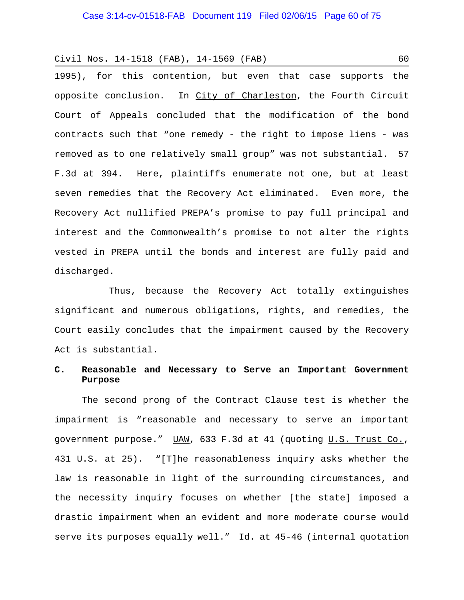1995), for this contention, but even that case supports the opposite conclusion. In City of Charleston, the Fourth Circuit Court of Appeals concluded that the modification of the bond contracts such that "one remedy - the right to impose liens - was removed as to one relatively small group" was not substantial. 57 F.3d at 394. Here, plaintiffs enumerate not one, but at least seven remedies that the Recovery Act eliminated. Even more, the Recovery Act nullified PREPA's promise to pay full principal and interest and the Commonwealth's promise to not alter the rights vested in PREPA until the bonds and interest are fully paid and discharged.

Thus, because the Recovery Act totally extinguishes significant and numerous obligations, rights, and remedies, the Court easily concludes that the impairment caused by the Recovery Act is substantial.

# **C. Reasonable and Necessary to Serve an Important Government Purpose**

The second prong of the Contract Clause test is whether the impairment is "reasonable and necessary to serve an important government purpose." UAW, 633 F.3d at 41 (quoting U.S. Trust Co., 431 U.S. at 25). "[T]he reasonableness inquiry asks whether the law is reasonable in light of the surrounding circumstances, and the necessity inquiry focuses on whether [the state] imposed a drastic impairment when an evident and more moderate course would serve its purposes equally well." Id. at 45-46 (internal quotation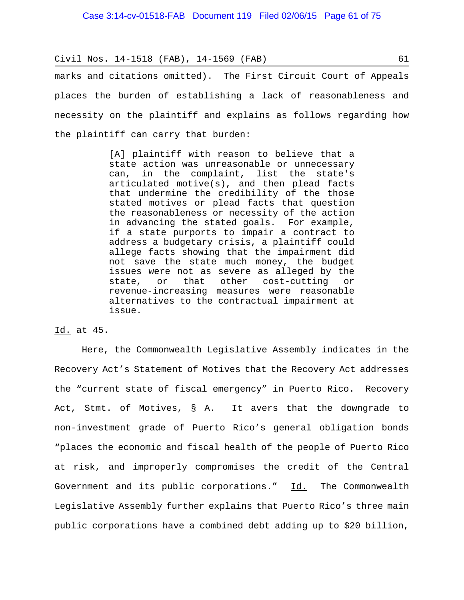marks and citations omitted). The First Circuit Court of Appeals places the burden of establishing a lack of reasonableness and necessity on the plaintiff and explains as follows regarding how the plaintiff can carry that burden:

> [A] plaintiff with reason to believe that a state action was unreasonable or unnecessary can, in the complaint, list the state's articulated motive(s), and then plead facts that undermine the credibility of the those stated motives or plead facts that question the reasonableness or necessity of the action in advancing the stated goals. For example, if a state purports to impair a contract to address a budgetary crisis, a plaintiff could allege facts showing that the impairment did not save the state much money, the budget issues were not as severe as alleged by the state, or that other cost-cutting or revenue-increasing measures were reasonable alternatives to the contractual impairment at issue.

## Id. at 45.

Here, the Commonwealth Legislative Assembly indicates in the Recovery Act's Statement of Motives that the Recovery Act addresses the "current state of fiscal emergency" in Puerto Rico. Recovery Act, Stmt. of Motives, § A. It avers that the downgrade to non-investment grade of Puerto Rico's general obligation bonds "places the economic and fiscal health of the people of Puerto Rico at risk, and improperly compromises the credit of the Central Government and its public corporations." Id. The Commonwealth Legislative Assembly further explains that Puerto Rico's three main public corporations have a combined debt adding up to \$20 billion,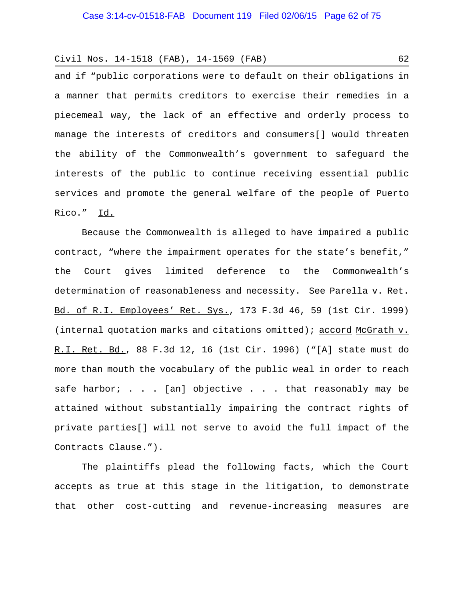and if "public corporations were to default on their obligations in a manner that permits creditors to exercise their remedies in a piecemeal way, the lack of an effective and orderly process to manage the interests of creditors and consumers[] would threaten the ability of the Commonwealth's government to safeguard the interests of the public to continue receiving essential public services and promote the general welfare of the people of Puerto Rico." Id.

Because the Commonwealth is alleged to have impaired a public contract, "where the impairment operates for the state's benefit," the Court gives limited deference to the Commonwealth's determination of reasonableness and necessity. See Parella v. Ret. Bd. of R.I. Employees' Ret. Sys., 173 F.3d 46, 59 (1st Cir. 1999) (internal quotation marks and citations omitted); accord McGrath v. R.I. Ret. Bd., 88 F.3d 12, 16 (1st Cir. 1996) ("[A] state must do more than mouth the vocabulary of the public weal in order to reach safe harbor; . . . [an] objective . . . that reasonably may be attained without substantially impairing the contract rights of private parties[] will not serve to avoid the full impact of the Contracts Clause.").

The plaintiffs plead the following facts, which the Court accepts as true at this stage in the litigation, to demonstrate that other cost-cutting and revenue-increasing measures are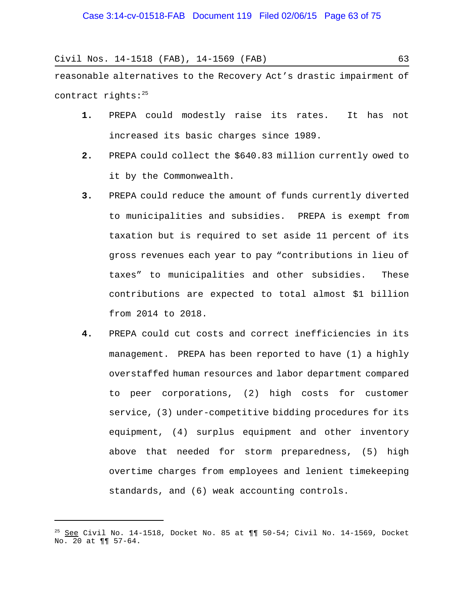reasonable alternatives to the Recovery Act's drastic impairment of contract rights:25

- **1.** PREPA could modestly raise its rates. It has not increased its basic charges since 1989.
- **2.** PREPA could collect the \$640.83 million currently owed to it by the Commonwealth.
- **3.** PREPA could reduce the amount of funds currently diverted to municipalities and subsidies. PREPA is exempt from taxation but is required to set aside 11 percent of its gross revenues each year to pay "contributions in lieu of taxes" to municipalities and other subsidies. These contributions are expected to total almost \$1 billion from 2014 to 2018.
- **4.** PREPA could cut costs and correct inefficiencies in its management. PREPA has been reported to have (1) a highly overstaffed human resources and labor department compared to peer corporations, (2) high costs for customer service, (3) under-competitive bidding procedures for its equipment, (4) surplus equipment and other inventory above that needed for storm preparedness, (5) high overtime charges from employees and lenient timekeeping standards, and (6) weak accounting controls.

 $25$  See Civil No. 14-1518, Docket No. 85 at  $\P\P$  50-54; Civil No. 14-1569, Docket No. 20 at ¶¶ 57-64.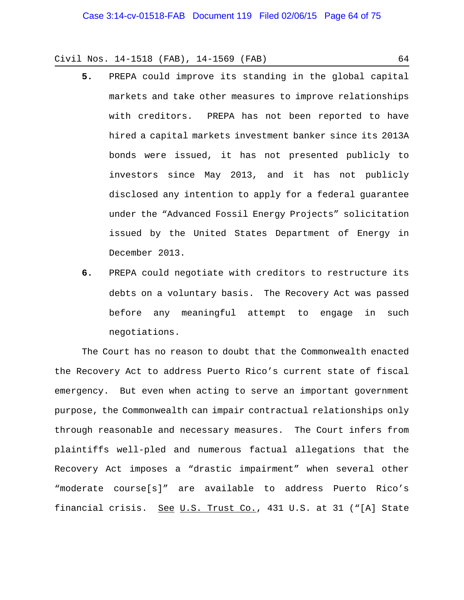- **5.** PREPA could improve its standing in the global capital markets and take other measures to improve relationships with creditors. PREPA has not been reported to have hired a capital markets investment banker since its 2013A bonds were issued, it has not presented publicly to investors since May 2013, and it has not publicly disclosed any intention to apply for a federal guarantee under the "Advanced Fossil Energy Projects" solicitation issued by the United States Department of Energy in December 2013.
- **6.** PREPA could negotiate with creditors to restructure its debts on a voluntary basis. The Recovery Act was passed before any meaningful attempt to engage in such negotiations.

The Court has no reason to doubt that the Commonwealth enacted the Recovery Act to address Puerto Rico's current state of fiscal emergency. But even when acting to serve an important government purpose, the Commonwealth can impair contractual relationships only through reasonable and necessary measures. The Court infers from plaintiffs well-pled and numerous factual allegations that the Recovery Act imposes a "drastic impairment" when several other "moderate course[s]" are available to address Puerto Rico's financial crisis. See U.S. Trust Co., 431 U.S. at 31 ("[A] State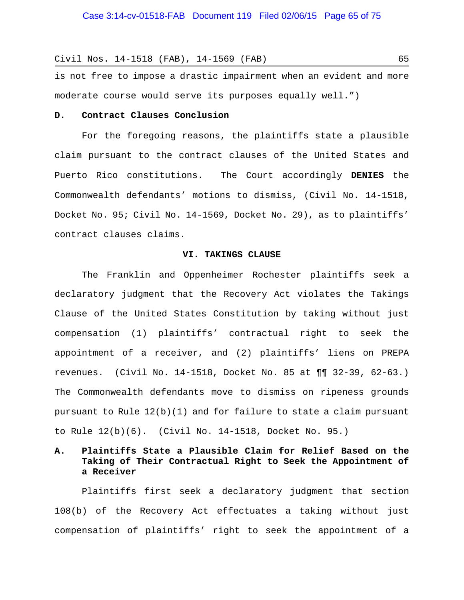is not free to impose a drastic impairment when an evident and more moderate course would serve its purposes equally well.")

#### **D. Contract Clauses Conclusion**

For the foregoing reasons, the plaintiffs state a plausible claim pursuant to the contract clauses of the United States and Puerto Rico constitutions. The Court accordingly **DENIES** the Commonwealth defendants' motions to dismiss, (Civil No. 14-1518, Docket No. 95; Civil No. 14-1569, Docket No. 29), as to plaintiffs' contract clauses claims.

### **VI. TAKINGS CLAUSE**

The Franklin and Oppenheimer Rochester plaintiffs seek a declaratory judgment that the Recovery Act violates the Takings Clause of the United States Constitution by taking without just compensation (1) plaintiffs' contractual right to seek the appointment of a receiver, and (2) plaintiffs' liens on PREPA revenues. (Civil No. 14-1518, Docket No. 85 at ¶¶ 32-39, 62-63.) The Commonwealth defendants move to dismiss on ripeness grounds pursuant to Rule  $12(b)(1)$  and for failure to state a claim pursuant to Rule 12(b)(6). (Civil No. 14-1518, Docket No. 95.)

# **A. Plaintiffs State a Plausible Claim for Relief Based on the Taking of Their Contractual Right to Seek the Appointment of a Receiver**

Plaintiffs first seek a declaratory judgment that section 108(b) of the Recovery Act effectuates a taking without just compensation of plaintiffs' right to seek the appointment of a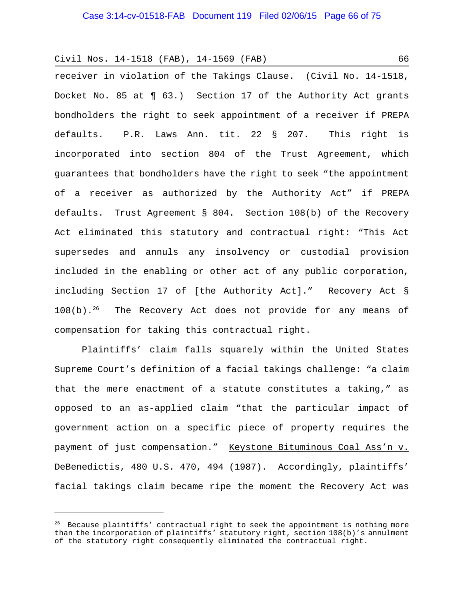receiver in violation of the Takings Clause. (Civil No. 14-1518, Docket No. 85 at ¶ 63.) Section 17 of the Authority Act grants bondholders the right to seek appointment of a receiver if PREPA defaults. P.R. Laws Ann. tit. 22 § 207. This right is incorporated into section 804 of the Trust Agreement, which guarantees that bondholders have the right to seek "the appointment of a receiver as authorized by the Authority Act" if PREPA defaults. Trust Agreement § 804. Section 108(b) of the Recovery Act eliminated this statutory and contractual right: "This Act supersedes and annuls any insolvency or custodial provision included in the enabling or other act of any public corporation, including Section 17 of [the Authority Act]." Recovery Act §  $108(b)$ .<sup>26</sup> The Recovery Act does not provide for any means of compensation for taking this contractual right.

Plaintiffs' claim falls squarely within the United States Supreme Court's definition of a facial takings challenge: "a claim that the mere enactment of a statute constitutes a taking," as opposed to an as-applied claim "that the particular impact of government action on a specific piece of property requires the payment of just compensation." Keystone Bituminous Coal Ass'n v. DeBenedictis, 480 U.S. 470, 494 (1987). Accordingly, plaintiffs' facial takings claim became ripe the moment the Recovery Act was

 $26$  Because plaintiffs' contractual right to seek the appointment is nothing more than the incorporation of plaintiffs' statutory right, section 108(b)'s annulment of the statutory right consequently eliminated the contractual right.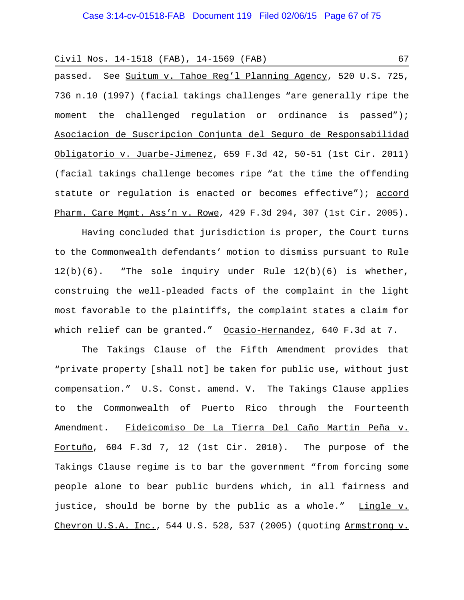Civil Nos. 14-1518 (FAB), 14-1569 (FAB) 67 passed. See Suitum v. Tahoe Reg'l Planning Agency, 520 U.S. 725,

736 n.10 (1997) (facial takings challenges "are generally ripe the moment the challenged regulation or ordinance is passed"); Asociacion de Suscripcion Conjunta del Seguro de Responsabilidad Obligatorio v. Juarbe-Jimenez, 659 F.3d 42, 50-51 (1st Cir. 2011) (facial takings challenge becomes ripe "at the time the offending statute or regulation is enacted or becomes effective"); accord Pharm. Care Mgmt. Ass'n v. Rowe, 429 F.3d 294, 307 (1st Cir. 2005).

Having concluded that jurisdiction is proper, the Court turns to the Commonwealth defendants' motion to dismiss pursuant to Rule 12(b)(6). "The sole inquiry under Rule 12(b)(6) is whether, construing the well-pleaded facts of the complaint in the light most favorable to the plaintiffs, the complaint states a claim for which relief can be granted." Ocasio-Hernandez, 640 F.3d at 7.

The Takings Clause of the Fifth Amendment provides that "private property [shall not] be taken for public use, without just compensation." U.S. Const. amend. V. The Takings Clause applies to the Commonwealth of Puerto Rico through the Fourteenth Amendment. Fideicomiso De La Tierra Del Caño Martin Peña v. Fortuño, 604 F.3d 7, 12 (1st Cir. 2010). The purpose of the Takings Clause regime is to bar the government "from forcing some people alone to bear public burdens which, in all fairness and justice, should be borne by the public as a whole." Lingle v. Chevron U.S.A. Inc., 544 U.S. 528, 537 (2005) (quoting Armstrong v.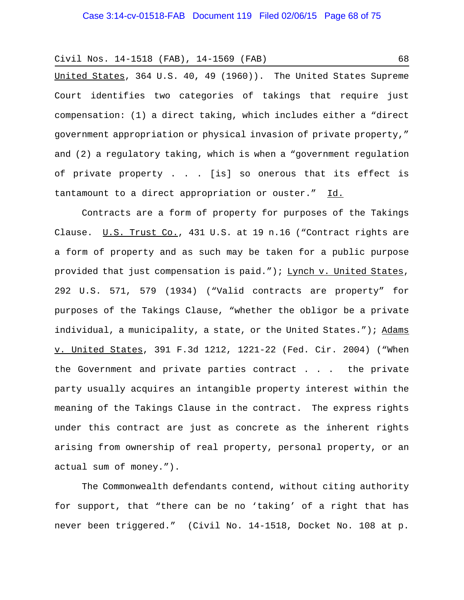United States, 364 U.S. 40, 49 (1960)). The United States Supreme Court identifies two categories of takings that require just compensation: (1) a direct taking, which includes either a "direct government appropriation or physical invasion of private property," and (2) a regulatory taking, which is when a "government regulation of private property . . . [is] so onerous that its effect is tantamount to a direct appropriation or ouster." Id.

Contracts are a form of property for purposes of the Takings Clause. U.S. Trust Co., 431 U.S. at 19 n.16 ("Contract rights are a form of property and as such may be taken for a public purpose provided that just compensation is paid."); Lynch v. United States, 292 U.S. 571, 579 (1934) ("Valid contracts are property" for purposes of the Takings Clause, "whether the obligor be a private individual, a municipality, a state, or the United States."); Adams v. United States, 391 F.3d 1212, 1221-22 (Fed. Cir. 2004) ("When the Government and private parties contract . . . the private party usually acquires an intangible property interest within the meaning of the Takings Clause in the contract. The express rights under this contract are just as concrete as the inherent rights arising from ownership of real property, personal property, or an actual sum of money.").

The Commonwealth defendants contend, without citing authority for support, that "there can be no 'taking' of a right that has never been triggered." (Civil No. 14-1518, Docket No. 108 at p.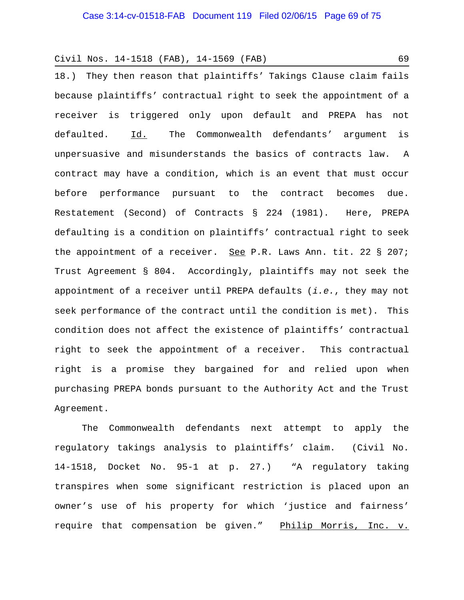18.) They then reason that plaintiffs' Takings Clause claim fails because plaintiffs' contractual right to seek the appointment of a receiver is triggered only upon default and PREPA has not defaulted. Id. The Commonwealth defendants' argument is unpersuasive and misunderstands the basics of contracts law. A contract may have a condition, which is an event that must occur before performance pursuant to the contract becomes due. Restatement (Second) of Contracts § 224 (1981). Here, PREPA defaulting is a condition on plaintiffs' contractual right to seek the appointment of a receiver. See P.R. Laws Ann. tit. 22 § 207; Trust Agreement § 804. Accordingly, plaintiffs may not seek the appointment of a receiver until PREPA defaults (*i.e.*, they may not seek performance of the contract until the condition is met). This condition does not affect the existence of plaintiffs' contractual right to seek the appointment of a receiver. This contractual right is a promise they bargained for and relied upon when purchasing PREPA bonds pursuant to the Authority Act and the Trust Agreement.

The Commonwealth defendants next attempt to apply the regulatory takings analysis to plaintiffs' claim. (Civil No. 14-1518, Docket No. 95-1 at p. 27.) "A regulatory taking transpires when some significant restriction is placed upon an owner's use of his property for which 'justice and fairness' require that compensation be given." Philip Morris, Inc. v.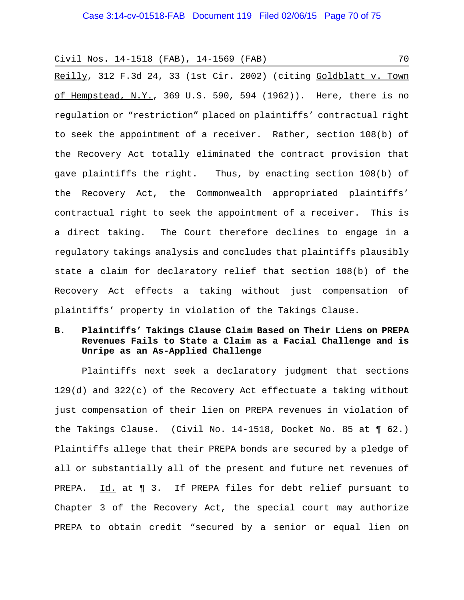Reilly, 312 F.3d 24, 33 (1st Cir. 2002) (citing Goldblatt v. Town of Hempstead, N.Y., 369 U.S. 590, 594 (1962)). Here, there is no regulation or "restriction" placed on plaintiffs' contractual right to seek the appointment of a receiver. Rather, section 108(b) of the Recovery Act totally eliminated the contract provision that gave plaintiffs the right. Thus, by enacting section 108(b) of the Recovery Act, the Commonwealth appropriated plaintiffs' contractual right to seek the appointment of a receiver. This is a direct taking. The Court therefore declines to engage in a regulatory takings analysis and concludes that plaintiffs plausibly state a claim for declaratory relief that section 108(b) of the Recovery Act effects a taking without just compensation of plaintiffs' property in violation of the Takings Clause.

# **B. Plaintiffs' Takings Clause Claim Based on Their Liens on PREPA Revenues Fails to State a Claim as a Facial Challenge and is Unripe as an As-Applied Challenge**

Plaintiffs next seek a declaratory judgment that sections 129(d) and 322(c) of the Recovery Act effectuate a taking without just compensation of their lien on PREPA revenues in violation of the Takings Clause. (Civil No. 14-1518, Docket No. 85 at ¶ 62.) Plaintiffs allege that their PREPA bonds are secured by a pledge of all or substantially all of the present and future net revenues of PREPA. Id. at ¶ 3. If PREPA files for debt relief pursuant to Chapter 3 of the Recovery Act, the special court may authorize PREPA to obtain credit "secured by a senior or equal lien on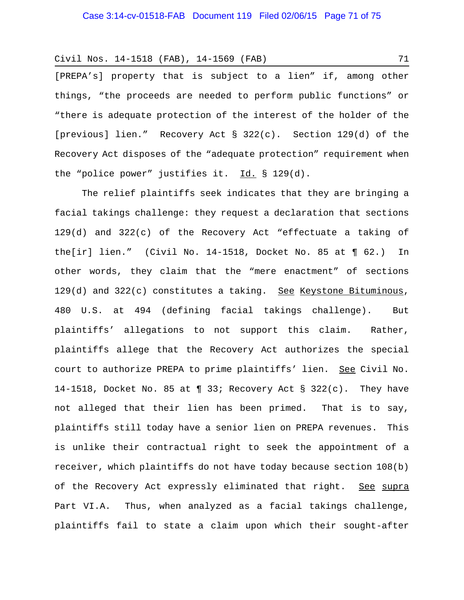[PREPA's] property that is subject to a lien" if, among other things, "the proceeds are needed to perform public functions" or "there is adequate protection of the interest of the holder of the [previous] lien." Recovery Act § 322(c). Section 129(d) of the Recovery Act disposes of the "adequate protection" requirement when the "police power" justifies it.  $Id. \S 129(d)$ .

The relief plaintiffs seek indicates that they are bringing a facial takings challenge: they request a declaration that sections 129(d) and 322(c) of the Recovery Act "effectuate a taking of the[ir] lien." (Civil No. 14-1518, Docket No. 85 at ¶ 62.) In other words, they claim that the "mere enactment" of sections  $129(d)$  and  $322(c)$  constitutes a taking. See Keystone Bituminous, 480 U.S. at 494 (defining facial takings challenge). But plaintiffs' allegations to not support this claim. Rather, plaintiffs allege that the Recovery Act authorizes the special court to authorize PREPA to prime plaintiffs' lien. See Civil No. 14-1518, Docket No. 85 at  $\P$  33; Recovery Act § 322(c). They have not alleged that their lien has been primed. That is to say, plaintiffs still today have a senior lien on PREPA revenues. This is unlike their contractual right to seek the appointment of a receiver, which plaintiffs do not have today because section 108(b) of the Recovery Act expressly eliminated that right. See supra Part VI.A. Thus, when analyzed as a facial takings challenge, plaintiffs fail to state a claim upon which their sought-after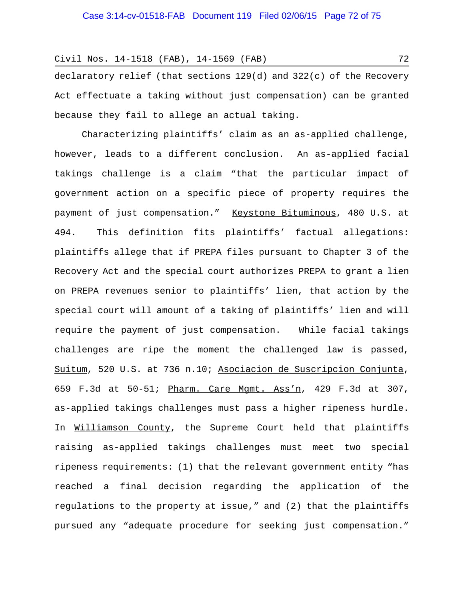declaratory relief (that sections  $129(d)$  and  $322(c)$  of the Recovery Act effectuate a taking without just compensation) can be granted because they fail to allege an actual taking.

Characterizing plaintiffs' claim as an as-applied challenge, however, leads to a different conclusion. An as-applied facial takings challenge is a claim "that the particular impact of government action on a specific piece of property requires the payment of just compensation." Keystone Bituminous, 480 U.S. at 494. This definition fits plaintiffs' factual allegations: plaintiffs allege that if PREPA files pursuant to Chapter 3 of the Recovery Act and the special court authorizes PREPA to grant a lien on PREPA revenues senior to plaintiffs' lien, that action by the special court will amount of a taking of plaintiffs' lien and will require the payment of just compensation. While facial takings challenges are ripe the moment the challenged law is passed, Suitum, 520 U.S. at 736 n.10; Asociacion de Suscripcion Conjunta, 659 F.3d at 50-51; Pharm. Care Mgmt. Ass'n, 429 F.3d at 307, as-applied takings challenges must pass a higher ripeness hurdle. In Williamson County, the Supreme Court held that plaintiffs raising as-applied takings challenges must meet two special ripeness requirements: (1) that the relevant government entity "has reached a final decision regarding the application of the regulations to the property at issue," and (2) that the plaintiffs pursued any "adequate procedure for seeking just compensation."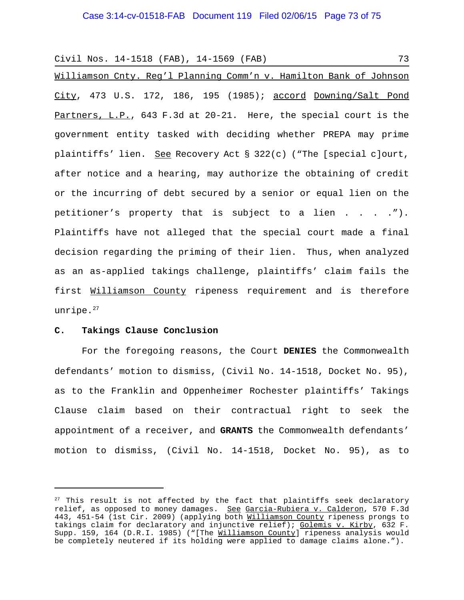```
Civil Nos. 14-1518 (FAB), 14-1569 (FAB) 73
```
Williamson Cnty. Reg'l Planning Comm'n v. Hamilton Bank of Johnson City, 473 U.S. 172, 186, 195 (1985); accord Downing/Salt Pond Partners, L.P., 643 F.3d at 20-21. Here, the special court is the government entity tasked with deciding whether PREPA may prime plaintiffs' lien. See Recovery Act § 322(c) ("The [special c]ourt, after notice and a hearing, may authorize the obtaining of credit or the incurring of debt secured by a senior or equal lien on the petitioner's property that is subject to a lien . . . ."). Plaintiffs have not alleged that the special court made a final decision regarding the priming of their lien. Thus, when analyzed as an as-applied takings challenge, plaintiffs' claim fails the first Williamson County ripeness requirement and is therefore unripe.<sup>27</sup>

## **C. Takings Clause Conclusion**

For the foregoing reasons, the Court **DENIES** the Commonwealth defendants' motion to dismiss, (Civil No. 14-1518, Docket No. 95), as to the Franklin and Oppenheimer Rochester plaintiffs' Takings Clause claim based on their contractual right to seek the appointment of a receiver, and **GRANTS** the Commonwealth defendants' motion to dismiss, (Civil No. 14-1518, Docket No. 95), as to

 $27$  This result is not affected by the fact that plaintiffs seek declaratory relief, as opposed to money damages. See Garcia-Rubiera v. Calderon, 570 F.3d 443, 451-54 (1st Cir. 2009) (applying both Williamson County ripeness prongs to takings claim for declaratory and injunctive relief); Golemis v. Kirby, 632 F. Supp. 159, 164 (D.R.I. 1985) ("[The Williamson County] ripeness analysis would be completely neutered if its holding were applied to damage claims alone.").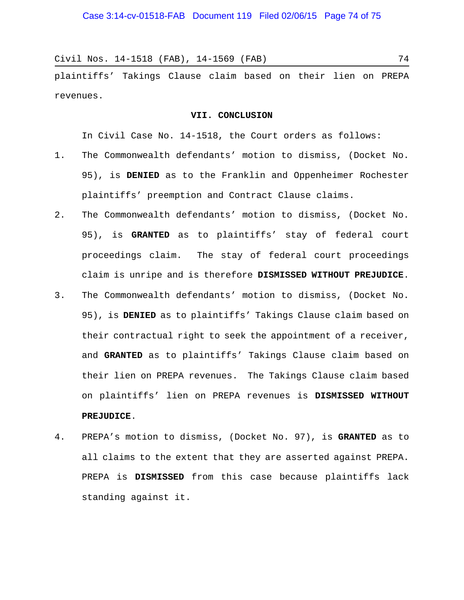Civil Nos. 14-1518 (FAB), 14-1569 (FAB) 74

plaintiffs' Takings Clause claim based on their lien on PREPA revenues.

## **VII. CONCLUSION**

In Civil Case No. 14-1518, the Court orders as follows:

- 1. The Commonwealth defendants' motion to dismiss, (Docket No. 95), is **DENIED** as to the Franklin and Oppenheimer Rochester plaintiffs' preemption and Contract Clause claims.
- 2. The Commonwealth defendants' motion to dismiss, (Docket No. 95), is **GRANTED** as to plaintiffs' stay of federal court proceedings claim. The stay of federal court proceedings claim is unripe and is therefore **DISMISSED WITHOUT PREJUDICE**.
- 3. The Commonwealth defendants' motion to dismiss, (Docket No. 95), is **DENIED** as to plaintiffs' Takings Clause claim based on their contractual right to seek the appointment of a receiver, and **GRANTED** as to plaintiffs' Takings Clause claim based on their lien on PREPA revenues. The Takings Clause claim based on plaintiffs' lien on PREPA revenues is **DISMISSED WITHOUT PREJUDICE**.
- 4. PREPA's motion to dismiss, (Docket No. 97), is **GRANTED** as to all claims to the extent that they are asserted against PREPA. PREPA is **DISMISSED** from this case because plaintiffs lack standing against it.